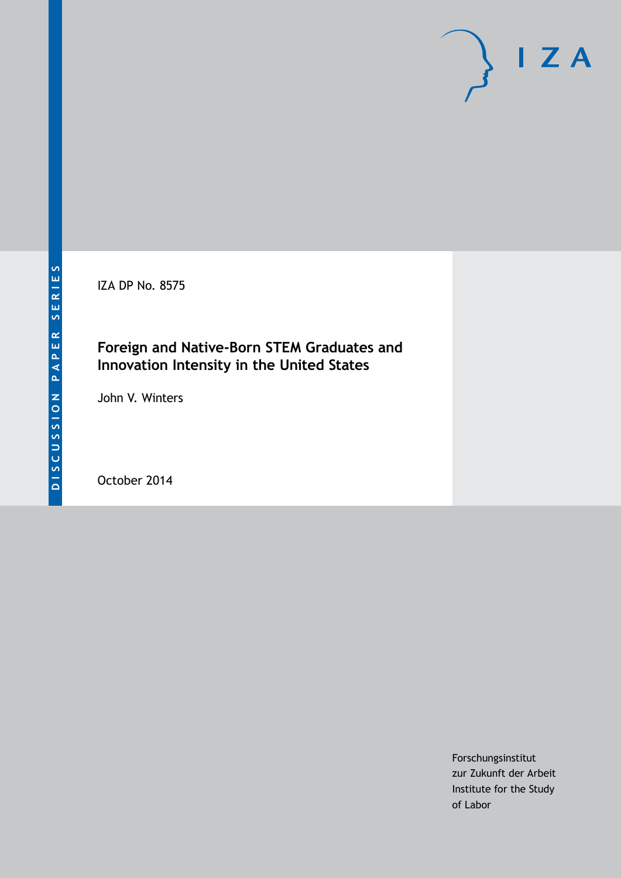IZA DP No. 8575

# **Foreign and Native-Born STEM Graduates and Innovation Intensity in the United States**

John V. Winters

October 2014

Forschungsinstitut zur Zukunft der Arbeit Institute for the Study of Labor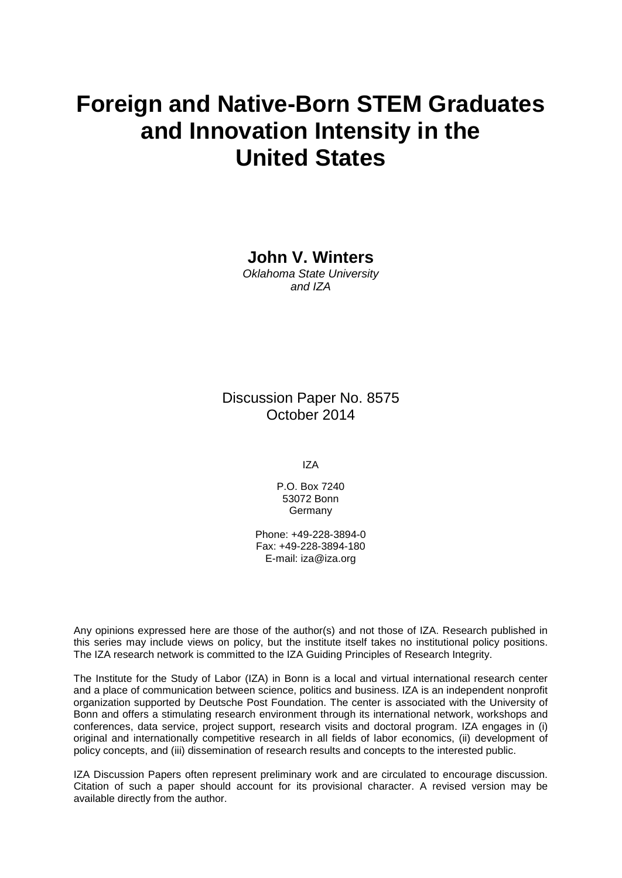# **Foreign and Native-Born STEM Graduates and Innovation Intensity in the United States**

**John V. Winters**

*Oklahoma State University and IZA*

Discussion Paper No. 8575 October 2014

IZA

P.O. Box 7240 53072 Bonn **Germany** 

Phone: +49-228-3894-0 Fax: +49-228-3894-180 E-mail: [iza@iza.org](mailto:iza@iza.org)

Any opinions expressed here are those of the author(s) and not those of IZA. Research published in this series may include views on policy, but the institute itself takes no institutional policy positions. The IZA research network is committed to the IZA Guiding Principles of Research Integrity.

The Institute for the Study of Labor (IZA) in Bonn is a local and virtual international research center and a place of communication between science, politics and business. IZA is an independent nonprofit organization supported by Deutsche Post Foundation. The center is associated with the University of Bonn and offers a stimulating research environment through its international network, workshops and conferences, data service, project support, research visits and doctoral program. IZA engages in (i) original and internationally competitive research in all fields of labor economics, (ii) development of policy concepts, and (iii) dissemination of research results and concepts to the interested public.

IZA Discussion Papers often represent preliminary work and are circulated to encourage discussion. Citation of such a paper should account for its provisional character. A revised version may be available directly from the author.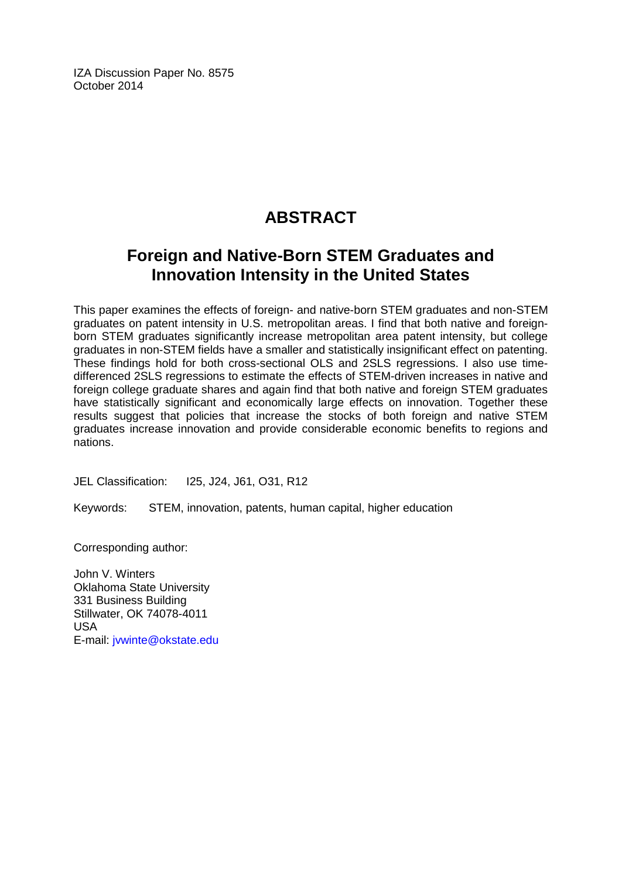IZA Discussion Paper No. 8575 October 2014

# **ABSTRACT**

# **Foreign and Native-Born STEM Graduates and Innovation Intensity in the United States**

This paper examines the effects of foreign- and native-born STEM graduates and non-STEM graduates on patent intensity in U.S. metropolitan areas. I find that both native and foreignborn STEM graduates significantly increase metropolitan area patent intensity, but college graduates in non-STEM fields have a smaller and statistically insignificant effect on patenting. These findings hold for both cross-sectional OLS and 2SLS regressions. I also use timedifferenced 2SLS regressions to estimate the effects of STEM-driven increases in native and foreign college graduate shares and again find that both native and foreign STEM graduates have statistically significant and economically large effects on innovation. Together these results suggest that policies that increase the stocks of both foreign and native STEM graduates increase innovation and provide considerable economic benefits to regions and nations.

JEL Classification: I25, J24, J61, O31, R12

Keywords: STEM, innovation, patents, human capital, higher education

Corresponding author:

John V. Winters Oklahoma State University 331 Business Building Stillwater, OK 74078-4011 USA E-mail: [jvwinte@okstate.edu](mailto:jvwinte@okstate.edu)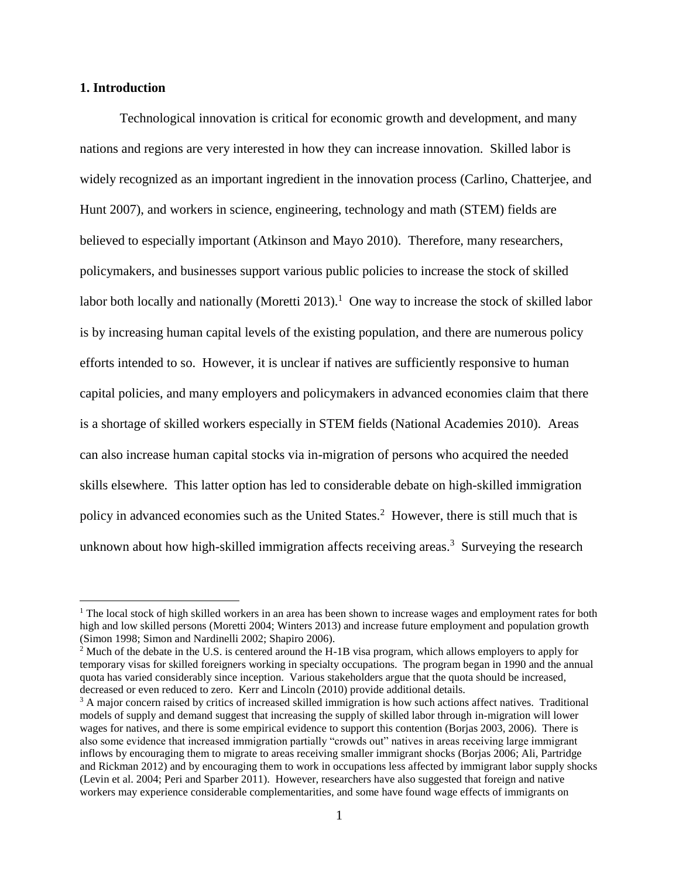## **1. Introduction**

 $\overline{a}$ 

Technological innovation is critical for economic growth and development, and many nations and regions are very interested in how they can increase innovation. Skilled labor is widely recognized as an important ingredient in the innovation process (Carlino, Chatterjee, and Hunt 2007), and workers in science, engineering, technology and math (STEM) fields are believed to especially important (Atkinson and Mayo 2010). Therefore, many researchers, policymakers, and businesses support various public policies to increase the stock of skilled labor both locally and nationally (Moretti 2013).<sup>1</sup> One way to increase the stock of skilled labor is by increasing human capital levels of the existing population, and there are numerous policy efforts intended to so. However, it is unclear if natives are sufficiently responsive to human capital policies, and many employers and policymakers in advanced economies claim that there is a shortage of skilled workers especially in STEM fields (National Academies 2010). Areas can also increase human capital stocks via in-migration of persons who acquired the needed skills elsewhere. This latter option has led to considerable debate on high-skilled immigration policy in advanced economies such as the United States.<sup>2</sup> However, there is still much that is unknown about how high-skilled immigration affects receiving areas.<sup>3</sup> Surveying the research

 $1$  The local stock of high skilled workers in an area has been shown to increase wages and employment rates for both high and low skilled persons (Moretti 2004; Winters 2013) and increase future employment and population growth (Simon 1998; Simon and Nardinelli 2002; Shapiro 2006).

<sup>2</sup> Much of the debate in the U.S. is centered around the H-1B visa program, which allows employers to apply for temporary visas for skilled foreigners working in specialty occupations. The program began in 1990 and the annual quota has varied considerably since inception. Various stakeholders argue that the quota should be increased, decreased or even reduced to zero. Kerr and Lincoln (2010) provide additional details.

<sup>&</sup>lt;sup>3</sup> A major concern raised by critics of increased skilled immigration is how such actions affect natives. Traditional models of supply and demand suggest that increasing the supply of skilled labor through in-migration will lower wages for natives, and there is some empirical evidence to support this contention (Borjas 2003, 2006). There is also some evidence that increased immigration partially "crowds out" natives in areas receiving large immigrant inflows by encouraging them to migrate to areas receiving smaller immigrant shocks (Borjas 2006; Ali, Partridge and Rickman 2012) and by encouraging them to work in occupations less affected by immigrant labor supply shocks (Levin et al. 2004; Peri and Sparber 2011). However, researchers have also suggested that foreign and native workers may experience considerable complementarities, and some have found wage effects of immigrants on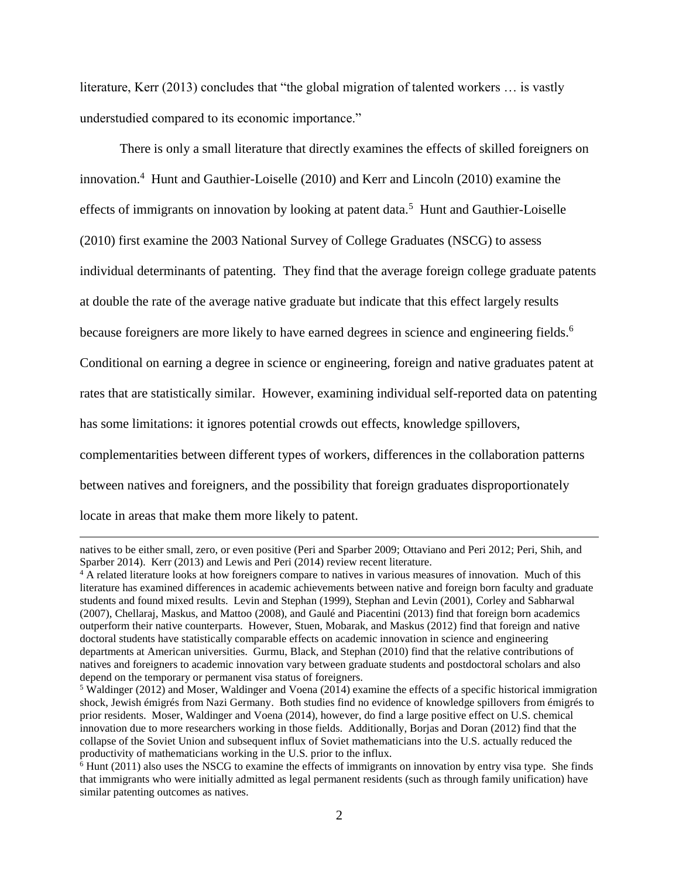literature, Kerr (2013) concludes that "the global migration of talented workers … is vastly understudied compared to its economic importance."

There is only a small literature that directly examines the effects of skilled foreigners on innovation.<sup>4</sup> Hunt and Gauthier-Loiselle (2010) and Kerr and Lincoln (2010) examine the effects of immigrants on innovation by looking at patent data.<sup>5</sup> Hunt and Gauthier-Loiselle (2010) first examine the 2003 National Survey of College Graduates (NSCG) to assess individual determinants of patenting. They find that the average foreign college graduate patents at double the rate of the average native graduate but indicate that this effect largely results because foreigners are more likely to have earned degrees in science and engineering fields.<sup>6</sup> Conditional on earning a degree in science or engineering, foreign and native graduates patent at rates that are statistically similar. However, examining individual self-reported data on patenting has some limitations: it ignores potential crowds out effects, knowledge spillovers, complementarities between different types of workers, differences in the collaboration patterns between natives and foreigners, and the possibility that foreign graduates disproportionately locate in areas that make them more likely to patent.

natives to be either small, zero, or even positive (Peri and Sparber 2009; Ottaviano and Peri 2012; Peri, Shih, and Sparber 2014). Kerr (2013) and Lewis and Peri (2014) review recent literature.

<sup>&</sup>lt;sup>4</sup> A related literature looks at how foreigners compare to natives in various measures of innovation. Much of this literature has examined differences in academic achievements between native and foreign born faculty and graduate students and found mixed results. Levin and Stephan (1999), Stephan and Levin (2001), Corley and Sabharwal (2007), Chellaraj, Maskus, and Mattoo (2008), and Gaulé and Piacentini (2013) find that foreign born academics outperform their native counterparts. However, Stuen, Mobarak, and Maskus (2012) find that foreign and native doctoral students have statistically comparable effects on academic innovation in science and engineering departments at American universities. Gurmu, Black, and Stephan (2010) find that the relative contributions of natives and foreigners to academic innovation vary between graduate students and postdoctoral scholars and also depend on the temporary or permanent visa status of foreigners.

<sup>&</sup>lt;sup>5</sup> Waldinger (2012) and Moser, Waldinger and Voena (2014) examine the effects of a specific historical immigration shock, Jewish émigrés from Nazi Germany. Both studies find no evidence of knowledge spillovers from émigrés to prior residents. Moser, Waldinger and Voena (2014), however, do find a large positive effect on U.S. chemical innovation due to more researchers working in those fields. Additionally, Borjas and Doran (2012) find that the collapse of the Soviet Union and subsequent influx of Soviet mathematicians into the U.S. actually reduced the productivity of mathematicians working in the U.S. prior to the influx.

 $6$  Hunt (2011) also uses the NSCG to examine the effects of immigrants on innovation by entry visa type. She finds that immigrants who were initially admitted as legal permanent residents (such as through family unification) have similar patenting outcomes as natives.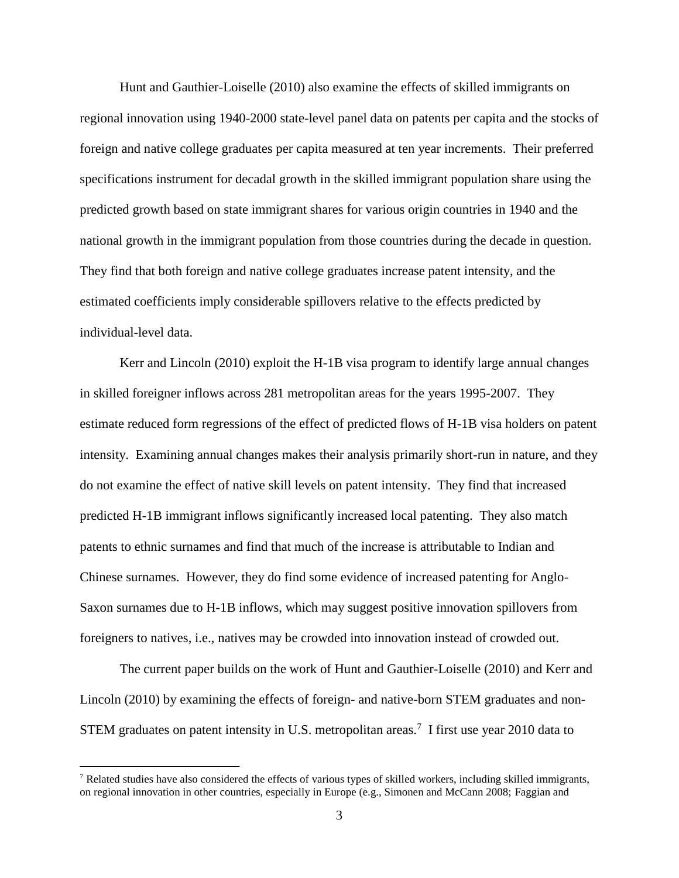Hunt and Gauthier-Loiselle (2010) also examine the effects of skilled immigrants on regional innovation using 1940-2000 state-level panel data on patents per capita and the stocks of foreign and native college graduates per capita measured at ten year increments. Their preferred specifications instrument for decadal growth in the skilled immigrant population share using the predicted growth based on state immigrant shares for various origin countries in 1940 and the national growth in the immigrant population from those countries during the decade in question. They find that both foreign and native college graduates increase patent intensity, and the estimated coefficients imply considerable spillovers relative to the effects predicted by individual-level data.

Kerr and Lincoln (2010) exploit the H-1B visa program to identify large annual changes in skilled foreigner inflows across 281 metropolitan areas for the years 1995-2007. They estimate reduced form regressions of the effect of predicted flows of H-1B visa holders on patent intensity. Examining annual changes makes their analysis primarily short-run in nature, and they do not examine the effect of native skill levels on patent intensity. They find that increased predicted H-1B immigrant inflows significantly increased local patenting. They also match patents to ethnic surnames and find that much of the increase is attributable to Indian and Chinese surnames. However, they do find some evidence of increased patenting for Anglo-Saxon surnames due to H-1B inflows, which may suggest positive innovation spillovers from foreigners to natives, i.e., natives may be crowded into innovation instead of crowded out.

The current paper builds on the work of Hunt and Gauthier-Loiselle (2010) and Kerr and Lincoln (2010) by examining the effects of foreign- and native-born STEM graduates and non-STEM graduates on patent intensity in U.S. metropolitan areas.<sup>7</sup> I first use year 2010 data to

 $<sup>7</sup>$  Related studies have also considered the effects of various types of skilled workers, including skilled immigrants,</sup> on regional innovation in other countries, especially in Europe (e.g., Simonen and McCann 2008; Faggian and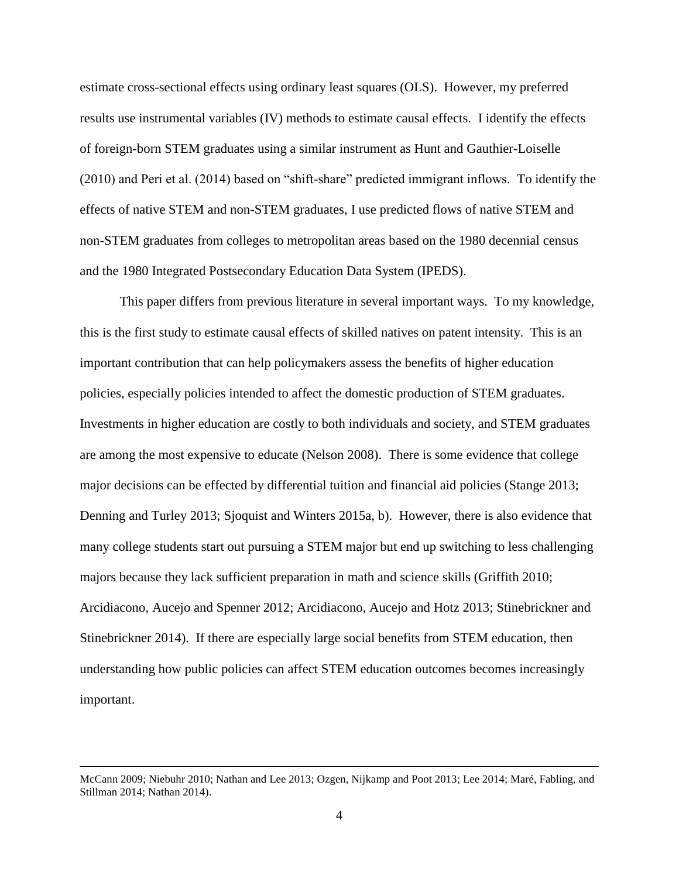estimate cross-sectional effects using ordinary least squares (OLS). However, my preferred results use instrumental variables (IV) methods to estimate causal effects. I identify the effects of foreign-born STEM graduates using a similar instrument as Hunt and Gauthier-Loiselle (2010) and Peri et al. (2014) based on "shift-share" predicted immigrant inflows. To identify the effects of native STEM and non-STEM graduates, I use predicted flows of native STEM and non-STEM graduates from colleges to metropolitan areas based on the 1980 decennial census and the 1980 Integrated Postsecondary Education Data System (IPEDS).

This paper differs from previous literature in several important ways. To my knowledge, this is the first study to estimate causal effects of skilled natives on patent intensity. This is an important contribution that can help policymakers assess the benefits of higher education policies, especially policies intended to affect the domestic production of STEM graduates. Investments in higher education are costly to both individuals and society, and STEM graduates are among the most expensive to educate (Nelson 2008). There is some evidence that college major decisions can be effected by differential tuition and financial aid policies (Stange 2013; Denning and Turley 2013; Sjoquist and Winters 2015a, b). However, there is also evidence that many college students start out pursuing a STEM major but end up switching to less challenging majors because they lack sufficient preparation in math and science skills (Griffith 2010; Arcidiacono, Aucejo and Spenner 2012; Arcidiacono, Aucejo and Hotz 2013; Stinebrickner and Stinebrickner 2014). If there are especially large social benefits from STEM education, then understanding how public policies can affect STEM education outcomes becomes increasingly important.

McCann 2009; Niebuhr 2010; Nathan and Lee 2013; Ozgen, Nijkamp and Poot 2013; Lee 2014; Maré, Fabling, and Stillman 2014; Nathan 2014).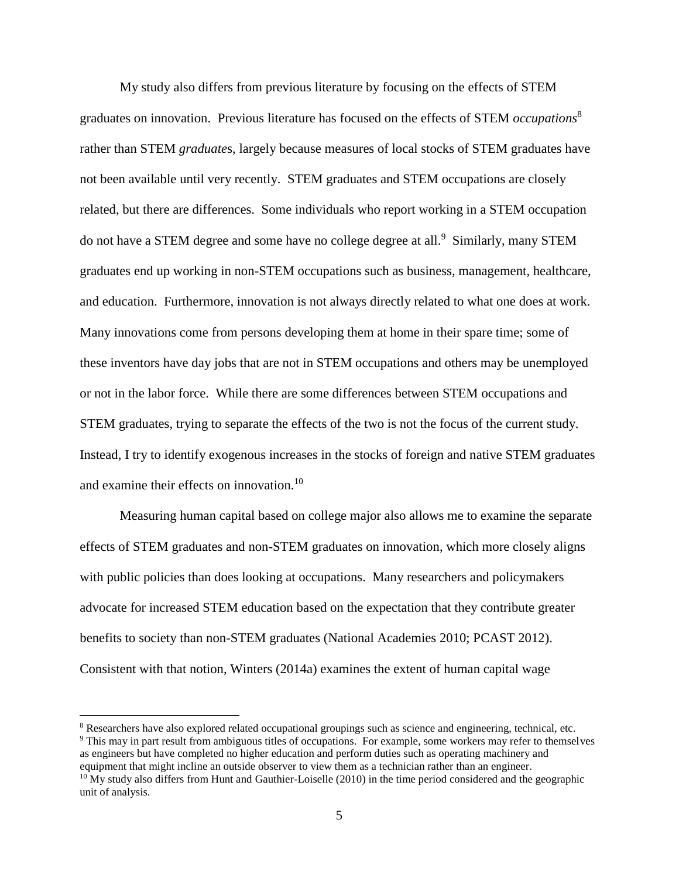My study also differs from previous literature by focusing on the effects of STEM graduates on innovation. Previous literature has focused on the effects of STEM *occupations*<sup>8</sup> rather than STEM *graduate*s, largely because measures of local stocks of STEM graduates have not been available until very recently. STEM graduates and STEM occupations are closely related, but there are differences. Some individuals who report working in a STEM occupation do not have a STEM degree and some have no college degree at all.<sup>9</sup> Similarly, many STEM graduates end up working in non-STEM occupations such as business, management, healthcare, and education. Furthermore, innovation is not always directly related to what one does at work. Many innovations come from persons developing them at home in their spare time; some of these inventors have day jobs that are not in STEM occupations and others may be unemployed or not in the labor force. While there are some differences between STEM occupations and STEM graduates, trying to separate the effects of the two is not the focus of the current study. Instead, I try to identify exogenous increases in the stocks of foreign and native STEM graduates and examine their effects on innovation.<sup>10</sup>

Measuring human capital based on college major also allows me to examine the separate effects of STEM graduates and non-STEM graduates on innovation, which more closely aligns with public policies than does looking at occupations. Many researchers and policymakers advocate for increased STEM education based on the expectation that they contribute greater benefits to society than non-STEM graduates (National Academies 2010; PCAST 2012). Consistent with that notion, Winters (2014a) examines the extent of human capital wage

<sup>8</sup> Researchers have also explored related occupational groupings such as science and engineering, technical, etc. <sup>9</sup> This may in part result from ambiguous titles of occupations. For example, some workers may refer to themselves as engineers but have completed no higher education and perform duties such as operating machinery and equipment that might incline an outside observer to view them as a technician rather than an engineer.  $10$  My study also differs from Hunt and Gauthier-Loiselle (2010) in the time period considered and the geographic unit of analysis.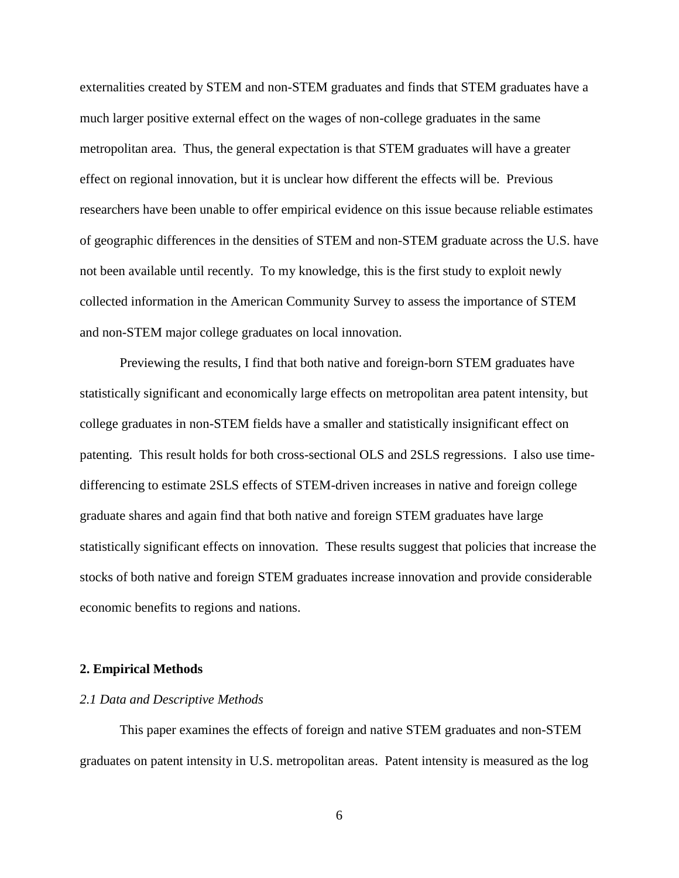externalities created by STEM and non-STEM graduates and finds that STEM graduates have a much larger positive external effect on the wages of non-college graduates in the same metropolitan area. Thus, the general expectation is that STEM graduates will have a greater effect on regional innovation, but it is unclear how different the effects will be. Previous researchers have been unable to offer empirical evidence on this issue because reliable estimates of geographic differences in the densities of STEM and non-STEM graduate across the U.S. have not been available until recently. To my knowledge, this is the first study to exploit newly collected information in the American Community Survey to assess the importance of STEM and non-STEM major college graduates on local innovation.

Previewing the results, I find that both native and foreign-born STEM graduates have statistically significant and economically large effects on metropolitan area patent intensity, but college graduates in non-STEM fields have a smaller and statistically insignificant effect on patenting. This result holds for both cross-sectional OLS and 2SLS regressions. I also use timedifferencing to estimate 2SLS effects of STEM-driven increases in native and foreign college graduate shares and again find that both native and foreign STEM graduates have large statistically significant effects on innovation. These results suggest that policies that increase the stocks of both native and foreign STEM graduates increase innovation and provide considerable economic benefits to regions and nations.

#### **2. Empirical Methods**

#### *2.1 Data and Descriptive Methods*

This paper examines the effects of foreign and native STEM graduates and non-STEM graduates on patent intensity in U.S. metropolitan areas. Patent intensity is measured as the log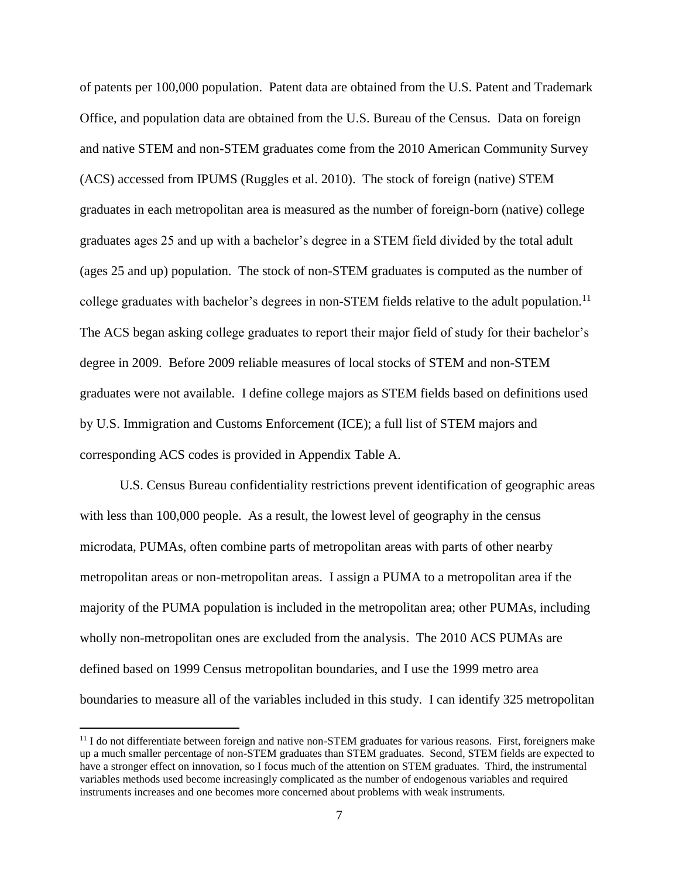of patents per 100,000 population. Patent data are obtained from the U.S. Patent and Trademark Office, and population data are obtained from the U.S. Bureau of the Census. Data on foreign and native STEM and non-STEM graduates come from the 2010 American Community Survey (ACS) accessed from IPUMS (Ruggles et al. 2010). The stock of foreign (native) STEM graduates in each metropolitan area is measured as the number of foreign-born (native) college graduates ages 25 and up with a bachelor's degree in a STEM field divided by the total adult (ages 25 and up) population. The stock of non-STEM graduates is computed as the number of college graduates with bachelor's degrees in non-STEM fields relative to the adult population.<sup>11</sup> The ACS began asking college graduates to report their major field of study for their bachelor's degree in 2009. Before 2009 reliable measures of local stocks of STEM and non-STEM graduates were not available. I define college majors as STEM fields based on definitions used by U.S. Immigration and Customs Enforcement (ICE); a full list of STEM majors and corresponding ACS codes is provided in Appendix Table A.

U.S. Census Bureau confidentiality restrictions prevent identification of geographic areas with less than 100,000 people. As a result, the lowest level of geography in the census microdata, PUMAs, often combine parts of metropolitan areas with parts of other nearby metropolitan areas or non-metropolitan areas. I assign a PUMA to a metropolitan area if the majority of the PUMA population is included in the metropolitan area; other PUMAs, including wholly non-metropolitan ones are excluded from the analysis. The 2010 ACS PUMAs are defined based on 1999 Census metropolitan boundaries, and I use the 1999 metro area boundaries to measure all of the variables included in this study. I can identify 325 metropolitan

<sup>&</sup>lt;sup>11</sup> I do not differentiate between foreign and native non-STEM graduates for various reasons. First, foreigners make up a much smaller percentage of non-STEM graduates than STEM graduates. Second, STEM fields are expected to have a stronger effect on innovation, so I focus much of the attention on STEM graduates. Third, the instrumental variables methods used become increasingly complicated as the number of endogenous variables and required instruments increases and one becomes more concerned about problems with weak instruments.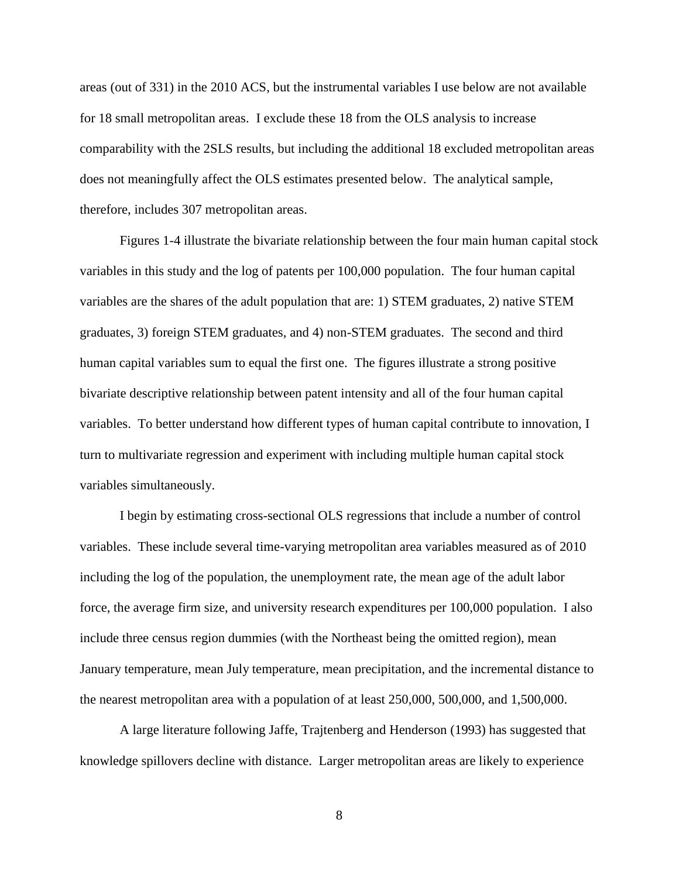areas (out of 331) in the 2010 ACS, but the instrumental variables I use below are not available for 18 small metropolitan areas. I exclude these 18 from the OLS analysis to increase comparability with the 2SLS results, but including the additional 18 excluded metropolitan areas does not meaningfully affect the OLS estimates presented below. The analytical sample, therefore, includes 307 metropolitan areas.

Figures 1-4 illustrate the bivariate relationship between the four main human capital stock variables in this study and the log of patents per 100,000 population. The four human capital variables are the shares of the adult population that are: 1) STEM graduates, 2) native STEM graduates, 3) foreign STEM graduates, and 4) non-STEM graduates. The second and third human capital variables sum to equal the first one. The figures illustrate a strong positive bivariate descriptive relationship between patent intensity and all of the four human capital variables. To better understand how different types of human capital contribute to innovation, I turn to multivariate regression and experiment with including multiple human capital stock variables simultaneously.

I begin by estimating cross-sectional OLS regressions that include a number of control variables. These include several time-varying metropolitan area variables measured as of 2010 including the log of the population, the unemployment rate, the mean age of the adult labor force, the average firm size, and university research expenditures per 100,000 population. I also include three census region dummies (with the Northeast being the omitted region), mean January temperature, mean July temperature, mean precipitation, and the incremental distance to the nearest metropolitan area with a population of at least 250,000, 500,000, and 1,500,000.

A large literature following Jaffe, Trajtenberg and Henderson (1993) has suggested that knowledge spillovers decline with distance. Larger metropolitan areas are likely to experience

8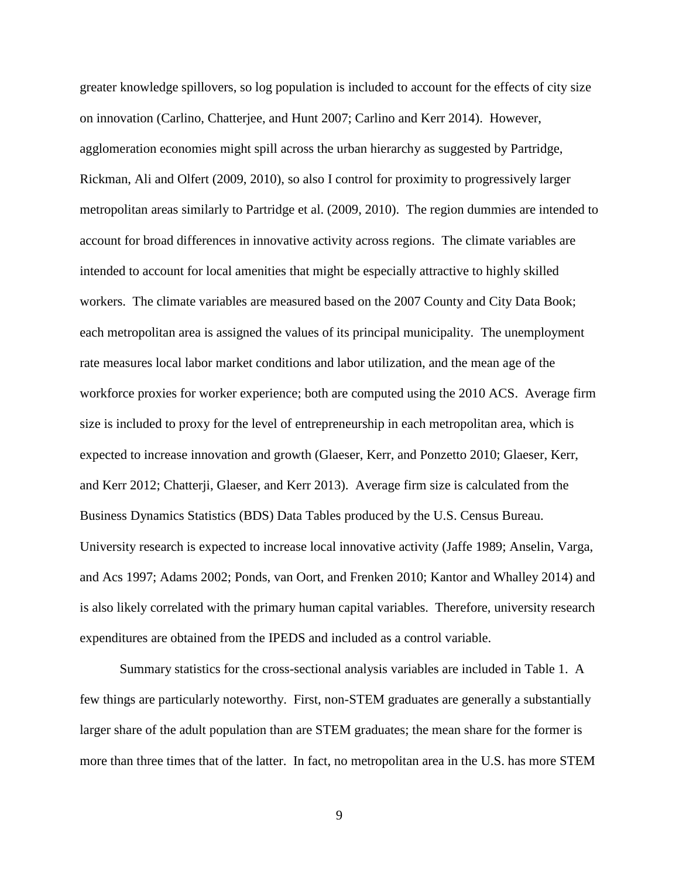greater knowledge spillovers, so log population is included to account for the effects of city size on innovation (Carlino, Chatterjee, and Hunt 2007; Carlino and Kerr 2014). However, agglomeration economies might spill across the urban hierarchy as suggested by Partridge, Rickman, Ali and Olfert (2009, 2010), so also I control for proximity to progressively larger metropolitan areas similarly to Partridge et al. (2009, 2010). The region dummies are intended to account for broad differences in innovative activity across regions. The climate variables are intended to account for local amenities that might be especially attractive to highly skilled workers. The climate variables are measured based on the 2007 County and City Data Book; each metropolitan area is assigned the values of its principal municipality. The unemployment rate measures local labor market conditions and labor utilization, and the mean age of the workforce proxies for worker experience; both are computed using the 2010 ACS. Average firm size is included to proxy for the level of entrepreneurship in each metropolitan area, which is expected to increase innovation and growth (Glaeser, Kerr, and Ponzetto 2010; Glaeser, Kerr, and Kerr 2012; Chatterji, Glaeser, and Kerr 2013). Average firm size is calculated from the Business Dynamics Statistics (BDS) Data Tables produced by the U.S. Census Bureau. University research is expected to increase local innovative activity (Jaffe 1989; Anselin, Varga, and Acs 1997; Adams 2002; Ponds, van Oort, and Frenken 2010; Kantor and Whalley 2014) and is also likely correlated with the primary human capital variables. Therefore, university research expenditures are obtained from the IPEDS and included as a control variable.

Summary statistics for the cross-sectional analysis variables are included in Table 1. A few things are particularly noteworthy. First, non-STEM graduates are generally a substantially larger share of the adult population than are STEM graduates; the mean share for the former is more than three times that of the latter. In fact, no metropolitan area in the U.S. has more STEM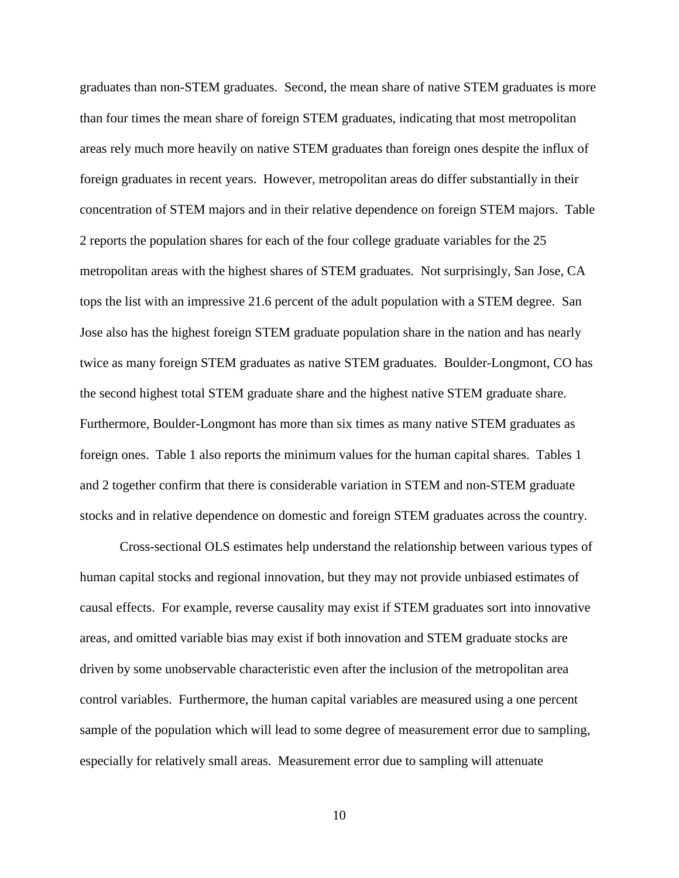graduates than non-STEM graduates. Second, the mean share of native STEM graduates is more than four times the mean share of foreign STEM graduates, indicating that most metropolitan areas rely much more heavily on native STEM graduates than foreign ones despite the influx of foreign graduates in recent years. However, metropolitan areas do differ substantially in their concentration of STEM majors and in their relative dependence on foreign STEM majors. Table 2 reports the population shares for each of the four college graduate variables for the 25 metropolitan areas with the highest shares of STEM graduates. Not surprisingly, San Jose, CA tops the list with an impressive 21.6 percent of the adult population with a STEM degree. San Jose also has the highest foreign STEM graduate population share in the nation and has nearly twice as many foreign STEM graduates as native STEM graduates. Boulder-Longmont, CO has the second highest total STEM graduate share and the highest native STEM graduate share. Furthermore, Boulder-Longmont has more than six times as many native STEM graduates as foreign ones. Table 1 also reports the minimum values for the human capital shares. Tables 1 and 2 together confirm that there is considerable variation in STEM and non-STEM graduate stocks and in relative dependence on domestic and foreign STEM graduates across the country.

Cross-sectional OLS estimates help understand the relationship between various types of human capital stocks and regional innovation, but they may not provide unbiased estimates of causal effects. For example, reverse causality may exist if STEM graduates sort into innovative areas, and omitted variable bias may exist if both innovation and STEM graduate stocks are driven by some unobservable characteristic even after the inclusion of the metropolitan area control variables. Furthermore, the human capital variables are measured using a one percent sample of the population which will lead to some degree of measurement error due to sampling, especially for relatively small areas. Measurement error due to sampling will attenuate

10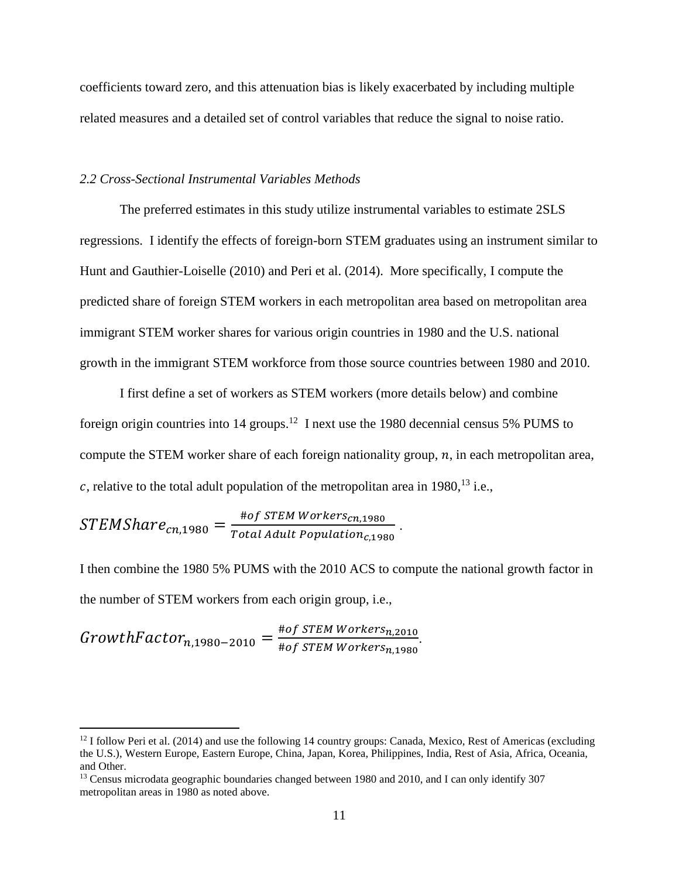coefficients toward zero, and this attenuation bias is likely exacerbated by including multiple related measures and a detailed set of control variables that reduce the signal to noise ratio.

# *2.2 Cross-Sectional Instrumental Variables Methods*

The preferred estimates in this study utilize instrumental variables to estimate 2SLS regressions. I identify the effects of foreign-born STEM graduates using an instrument similar to Hunt and Gauthier-Loiselle (2010) and Peri et al. (2014). More specifically, I compute the predicted share of foreign STEM workers in each metropolitan area based on metropolitan area immigrant STEM worker shares for various origin countries in 1980 and the U.S. national growth in the immigrant STEM workforce from those source countries between 1980 and 2010.

I first define a set of workers as STEM workers (more details below) and combine foreign origin countries into 14 groups.<sup>12</sup> I next use the 1980 decennial census 5% PUMS to compute the STEM worker share of each foreign nationality group,  $n$ , in each metropolitan area, c, relative to the total adult population of the metropolitan area in 1980,  $^{13}$  i.e.,

$$
STEMShare_{cn,1980} = \frac{^{#of\ STEM\ Workers_{cn,1980}}}{Total\ Adult\ Population_{c,1980}}
$$

I then combine the 1980 5% PUMS with the 2010 ACS to compute the national growth factor in the number of STEM workers from each origin group, i.e.,

.

 $\emph{GrowthFactor}_{n,1980-2010} = \frac{\# of \: STEM \: Works_{n,2010}}{\# of \: STEM \:Workers}$ #of STEM Workers<sub>n,1980</sub> .

 $12$  I follow Peri et al. (2014) and use the following 14 country groups: Canada, Mexico, Rest of Americas (excluding the U.S.), Western Europe, Eastern Europe, China, Japan, Korea, Philippines, India, Rest of Asia, Africa, Oceania, and Other.

<sup>&</sup>lt;sup>13</sup> Census microdata geographic boundaries changed between 1980 and 2010, and I can only identify 307 metropolitan areas in 1980 as noted above.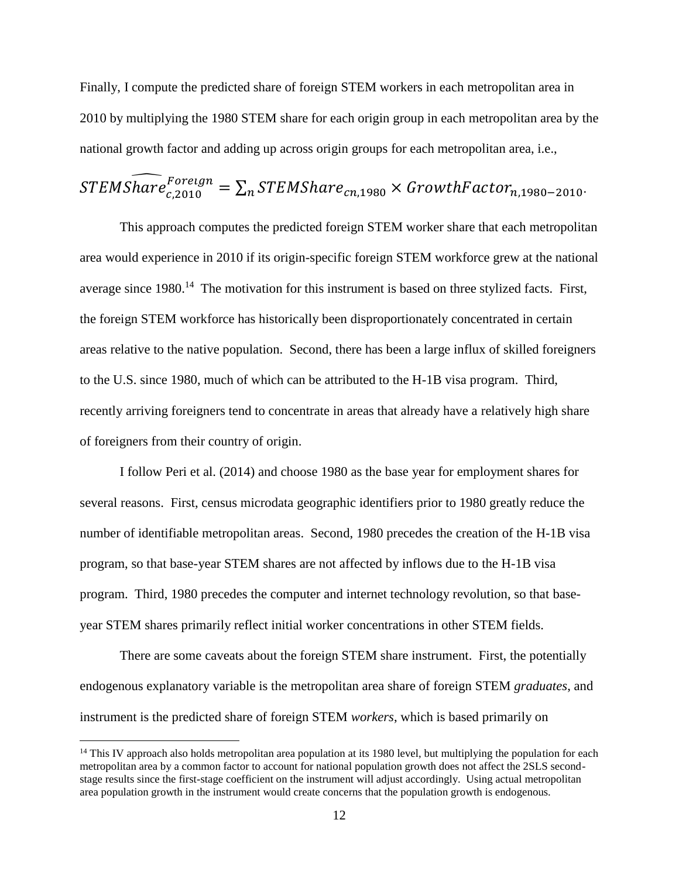Finally, I compute the predicted share of foreign STEM workers in each metropolitan area in 2010 by multiplying the 1980 STEM share for each origin group in each metropolitan area by the national growth factor and adding up across origin groups for each metropolitan area, i.e.,

$$
STEMS\widehat{hare}_{c,2010}^{Foreign} = \sum_{n} STEMShare_{cn,1980} \times GrowthFactor_{n,1980-2010}.
$$

This approach computes the predicted foreign STEM worker share that each metropolitan area would experience in 2010 if its origin-specific foreign STEM workforce grew at the national average since 1980.<sup>14</sup> The motivation for this instrument is based on three stylized facts. First, the foreign STEM workforce has historically been disproportionately concentrated in certain areas relative to the native population. Second, there has been a large influx of skilled foreigners to the U.S. since 1980, much of which can be attributed to the H-1B visa program. Third, recently arriving foreigners tend to concentrate in areas that already have a relatively high share of foreigners from their country of origin.

I follow Peri et al. (2014) and choose 1980 as the base year for employment shares for several reasons. First, census microdata geographic identifiers prior to 1980 greatly reduce the number of identifiable metropolitan areas. Second, 1980 precedes the creation of the H-1B visa program, so that base-year STEM shares are not affected by inflows due to the H-1B visa program. Third, 1980 precedes the computer and internet technology revolution, so that baseyear STEM shares primarily reflect initial worker concentrations in other STEM fields.

There are some caveats about the foreign STEM share instrument. First, the potentially endogenous explanatory variable is the metropolitan area share of foreign STEM *graduates*, and instrument is the predicted share of foreign STEM *workers*, which is based primarily on

 $14$  This IV approach also holds metropolitan area population at its 1980 level, but multiplying the population for each metropolitan area by a common factor to account for national population growth does not affect the 2SLS secondstage results since the first-stage coefficient on the instrument will adjust accordingly. Using actual metropolitan area population growth in the instrument would create concerns that the population growth is endogenous.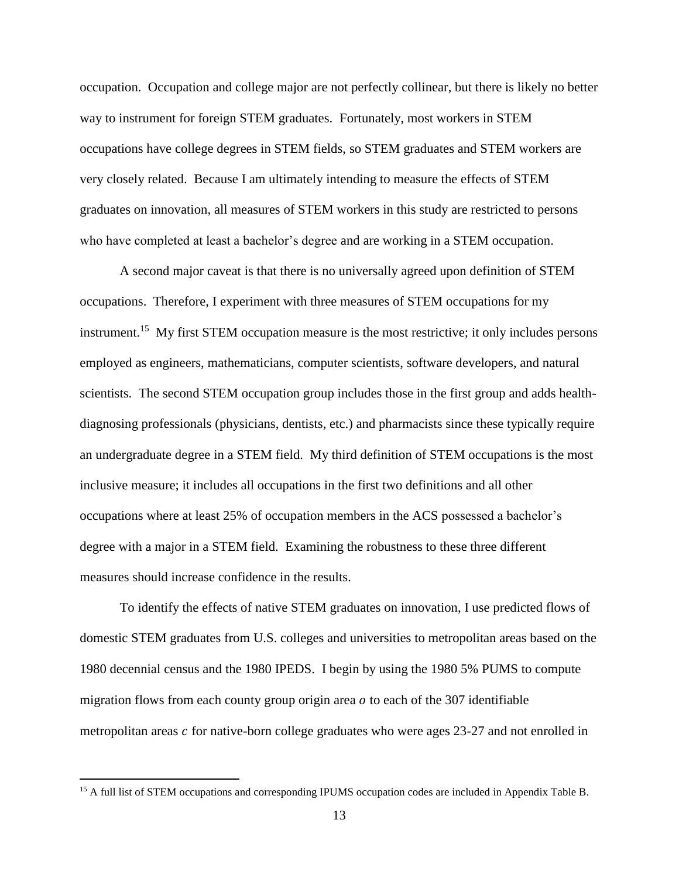occupation. Occupation and college major are not perfectly collinear, but there is likely no better way to instrument for foreign STEM graduates. Fortunately, most workers in STEM occupations have college degrees in STEM fields, so STEM graduates and STEM workers are very closely related. Because I am ultimately intending to measure the effects of STEM graduates on innovation, all measures of STEM workers in this study are restricted to persons who have completed at least a bachelor's degree and are working in a STEM occupation.

A second major caveat is that there is no universally agreed upon definition of STEM occupations. Therefore, I experiment with three measures of STEM occupations for my instrument.<sup>15</sup> My first STEM occupation measure is the most restrictive; it only includes persons employed as engineers, mathematicians, computer scientists, software developers, and natural scientists. The second STEM occupation group includes those in the first group and adds healthdiagnosing professionals (physicians, dentists, etc.) and pharmacists since these typically require an undergraduate degree in a STEM field. My third definition of STEM occupations is the most inclusive measure; it includes all occupations in the first two definitions and all other occupations where at least 25% of occupation members in the ACS possessed a bachelor's degree with a major in a STEM field. Examining the robustness to these three different measures should increase confidence in the results.

To identify the effects of native STEM graduates on innovation, I use predicted flows of domestic STEM graduates from U.S. colleges and universities to metropolitan areas based on the 1980 decennial census and the 1980 IPEDS. I begin by using the 1980 5% PUMS to compute migration flows from each county group origin area  $\sigma$  to each of the 307 identifiable metropolitan areas  $c$  for native-born college graduates who were ages 23-27 and not enrolled in

<sup>&</sup>lt;sup>15</sup> A full list of STEM occupations and corresponding IPUMS occupation codes are included in Appendix Table B.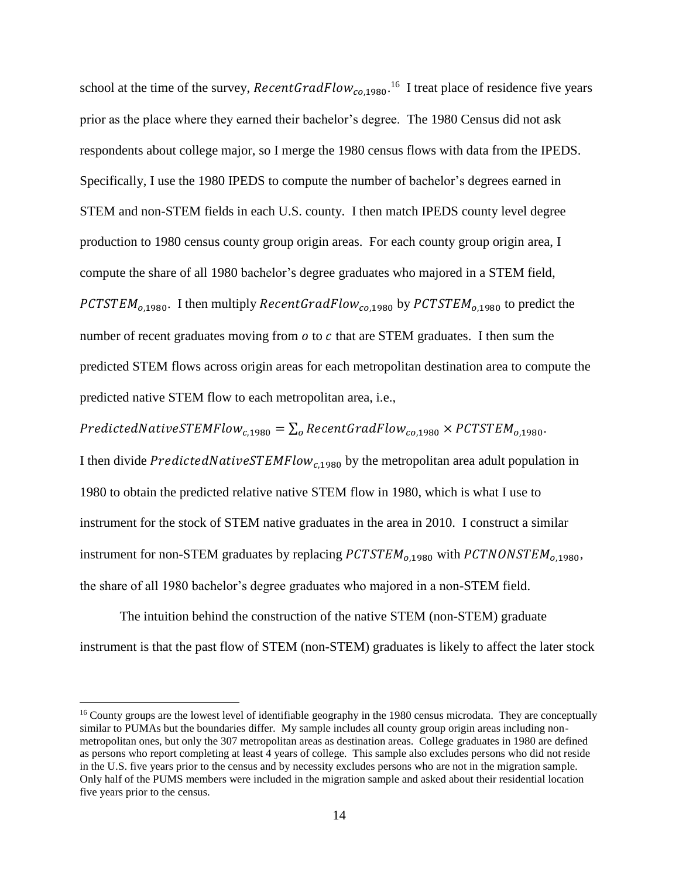school at the time of the survey,  $RecentGradFlow_{co,1980}$ <sup>16</sup> I treat place of residence five years prior as the place where they earned their bachelor's degree. The 1980 Census did not ask respondents about college major, so I merge the 1980 census flows with data from the IPEDS. Specifically, I use the 1980 IPEDS to compute the number of bachelor's degrees earned in STEM and non-STEM fields in each U.S. county. I then match IPEDS county level degree production to 1980 census county group origin areas. For each county group origin area, I compute the share of all 1980 bachelor's degree graduates who majored in a STEM field,  $PCTSTEM_{0.1980}$ . I then multiply  $RecentGradFlow_{c0.1980}$  by  $PCTSTEM_{0.1980}$  to predict the number of recent graduates moving from  $\sigma$  to  $\sigma$  that are STEM graduates. I then sum the predicted STEM flows across origin areas for each metropolitan destination area to compute the predicted native STEM flow to each metropolitan area, i.e.,

 $Predicted NativeSTEMFlow_{c.1980} = \sum_{o} RecentGradFlow_{c0.1980} \times PCTSTEM_{o.1980}$ . I then divide PredictedNativeSTEMFlow<sub>c,1980</sub> by the metropolitan area adult population in 1980 to obtain the predicted relative native STEM flow in 1980, which is what I use to instrument for the stock of STEM native graduates in the area in 2010. I construct a similar instrument for non-STEM graduates by replacing  $PCTSTEM_{0.1980}$  with  $PCTNONSTEM_{0.1980}$ , the share of all 1980 bachelor's degree graduates who majored in a non-STEM field.

The intuition behind the construction of the native STEM (non-STEM) graduate instrument is that the past flow of STEM (non-STEM) graduates is likely to affect the later stock

<sup>&</sup>lt;sup>16</sup> County groups are the lowest level of identifiable geography in the 1980 census microdata. They are conceptually similar to PUMAs but the boundaries differ. My sample includes all county group origin areas including nonmetropolitan ones, but only the 307 metropolitan areas as destination areas. College graduates in 1980 are defined as persons who report completing at least 4 years of college. This sample also excludes persons who did not reside in the U.S. five years prior to the census and by necessity excludes persons who are not in the migration sample. Only half of the PUMS members were included in the migration sample and asked about their residential location five years prior to the census.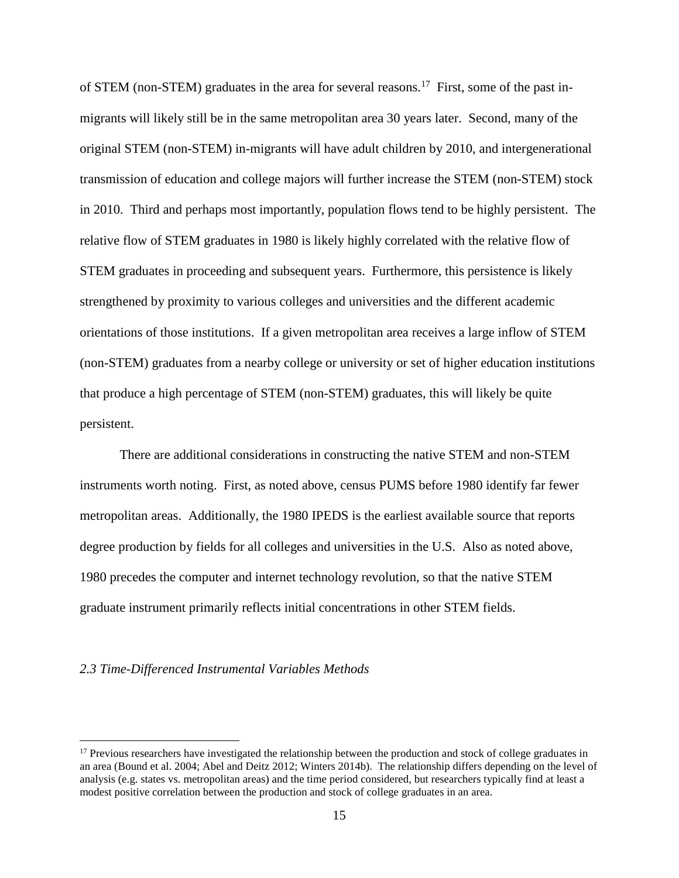of STEM (non-STEM) graduates in the area for several reasons.<sup>17</sup> First, some of the past inmigrants will likely still be in the same metropolitan area 30 years later. Second, many of the original STEM (non-STEM) in-migrants will have adult children by 2010, and intergenerational transmission of education and college majors will further increase the STEM (non-STEM) stock in 2010. Third and perhaps most importantly, population flows tend to be highly persistent. The relative flow of STEM graduates in 1980 is likely highly correlated with the relative flow of STEM graduates in proceeding and subsequent years. Furthermore, this persistence is likely strengthened by proximity to various colleges and universities and the different academic orientations of those institutions. If a given metropolitan area receives a large inflow of STEM (non-STEM) graduates from a nearby college or university or set of higher education institutions that produce a high percentage of STEM (non-STEM) graduates, this will likely be quite persistent.

There are additional considerations in constructing the native STEM and non-STEM instruments worth noting. First, as noted above, census PUMS before 1980 identify far fewer metropolitan areas. Additionally, the 1980 IPEDS is the earliest available source that reports degree production by fields for all colleges and universities in the U.S. Also as noted above, 1980 precedes the computer and internet technology revolution, so that the native STEM graduate instrument primarily reflects initial concentrations in other STEM fields.

# *2.3 Time-Differenced Instrumental Variables Methods*

<sup>&</sup>lt;sup>17</sup> Previous researchers have investigated the relationship between the production and stock of college graduates in an area (Bound et al. 2004; Abel and Deitz 2012; Winters 2014b). The relationship differs depending on the level of analysis (e.g. states vs. metropolitan areas) and the time period considered, but researchers typically find at least a modest positive correlation between the production and stock of college graduates in an area.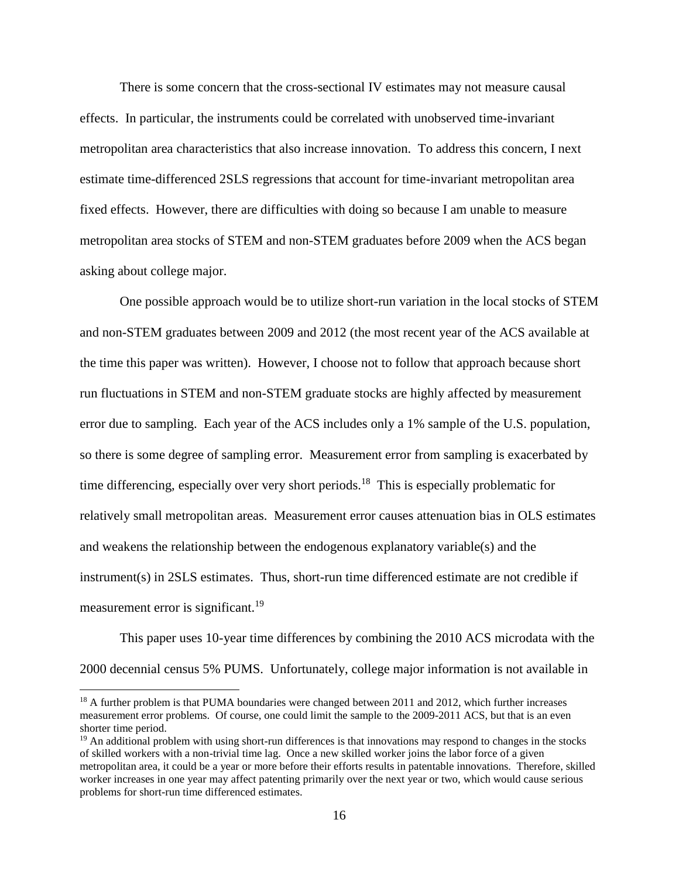There is some concern that the cross-sectional IV estimates may not measure causal effects. In particular, the instruments could be correlated with unobserved time-invariant metropolitan area characteristics that also increase innovation. To address this concern, I next estimate time-differenced 2SLS regressions that account for time-invariant metropolitan area fixed effects. However, there are difficulties with doing so because I am unable to measure metropolitan area stocks of STEM and non-STEM graduates before 2009 when the ACS began asking about college major.

One possible approach would be to utilize short-run variation in the local stocks of STEM and non-STEM graduates between 2009 and 2012 (the most recent year of the ACS available at the time this paper was written). However, I choose not to follow that approach because short run fluctuations in STEM and non-STEM graduate stocks are highly affected by measurement error due to sampling. Each year of the ACS includes only a 1% sample of the U.S. population, so there is some degree of sampling error. Measurement error from sampling is exacerbated by time differencing, especially over very short periods.<sup>18</sup> This is especially problematic for relatively small metropolitan areas. Measurement error causes attenuation bias in OLS estimates and weakens the relationship between the endogenous explanatory variable(s) and the instrument(s) in 2SLS estimates. Thus, short-run time differenced estimate are not credible if measurement error is significant.<sup>19</sup>

This paper uses 10-year time differences by combining the 2010 ACS microdata with the 2000 decennial census 5% PUMS. Unfortunately, college major information is not available in

<sup>&</sup>lt;sup>18</sup> A further problem is that PUMA boundaries were changed between 2011 and 2012, which further increases measurement error problems. Of course, one could limit the sample to the 2009-2011 ACS, but that is an even shorter time period.

 $19$  An additional problem with using short-run differences is that innovations may respond to changes in the stocks of skilled workers with a non-trivial time lag. Once a new skilled worker joins the labor force of a given metropolitan area, it could be a year or more before their efforts results in patentable innovations. Therefore, skilled worker increases in one year may affect patenting primarily over the next year or two, which would cause serious problems for short-run time differenced estimates.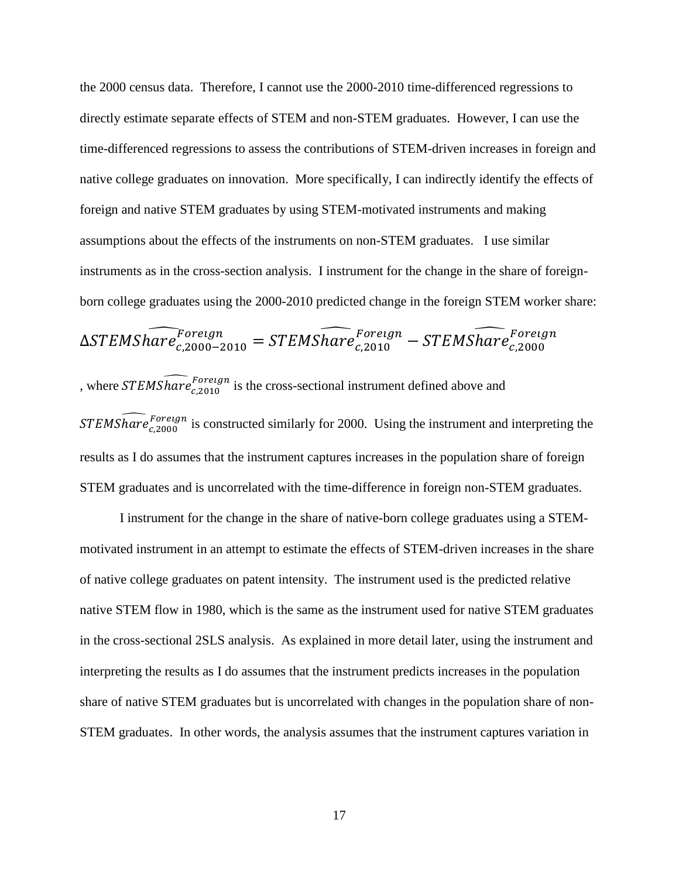the 2000 census data. Therefore, I cannot use the 2000-2010 time-differenced regressions to directly estimate separate effects of STEM and non-STEM graduates. However, I can use the time-differenced regressions to assess the contributions of STEM-driven increases in foreign and native college graduates on innovation. More specifically, I can indirectly identify the effects of foreign and native STEM graduates by using STEM-motivated instruments and making assumptions about the effects of the instruments on non-STEM graduates. I use similar instruments as in the cross-section analysis. I instrument for the change in the share of foreignborn college graduates using the 2000-2010 predicted change in the foreign STEM worker share:  $\Delta STEMShare_{c.2000-2010}^{Foreign} = STEMShare_{c,2010}^{Foreign} - STEMS\widehat{hare}_{c,2000}^{Foreign}$ 

, where  $STEMS\widehat{hare}^{Foreign}_{c.2010}$  is the cross-sectional instrument defined above and  $STEMS\widehat{hare}_{c,2000}^{Foreign}$  is constructed similarly for 2000. Using the instrument and interpreting the results as I do assumes that the instrument captures increases in the population share of foreign STEM graduates and is uncorrelated with the time-difference in foreign non-STEM graduates.

I instrument for the change in the share of native-born college graduates using a STEMmotivated instrument in an attempt to estimate the effects of STEM-driven increases in the share of native college graduates on patent intensity. The instrument used is the predicted relative native STEM flow in 1980, which is the same as the instrument used for native STEM graduates in the cross-sectional 2SLS analysis. As explained in more detail later, using the instrument and interpreting the results as I do assumes that the instrument predicts increases in the population share of native STEM graduates but is uncorrelated with changes in the population share of non-STEM graduates. In other words, the analysis assumes that the instrument captures variation in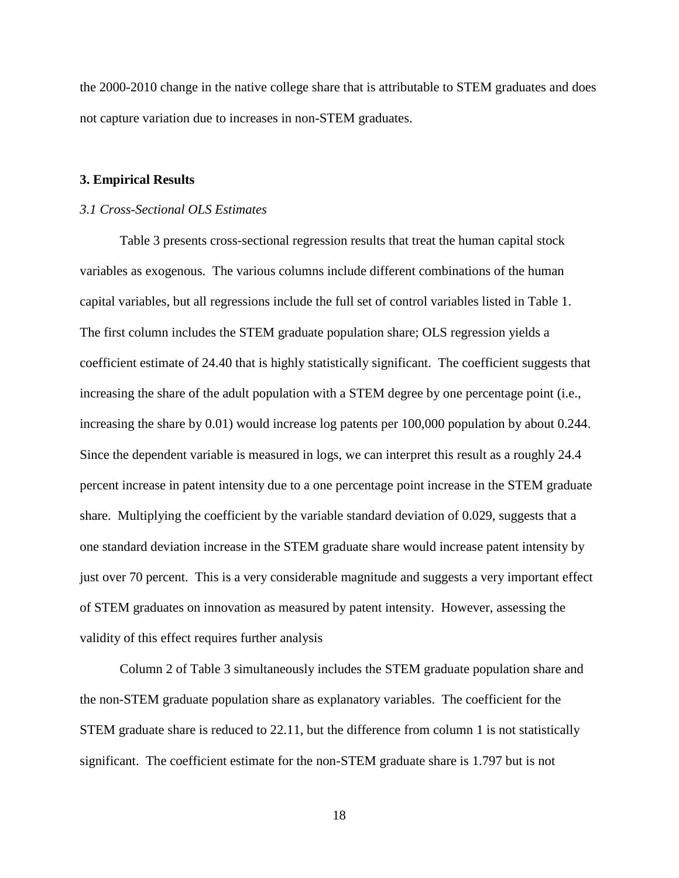the 2000-2010 change in the native college share that is attributable to STEM graduates and does not capture variation due to increases in non-STEM graduates.

### **3. Empirical Results**

### *3.1 Cross-Sectional OLS Estimates*

Table 3 presents cross-sectional regression results that treat the human capital stock variables as exogenous. The various columns include different combinations of the human capital variables, but all regressions include the full set of control variables listed in Table 1. The first column includes the STEM graduate population share; OLS regression yields a coefficient estimate of 24.40 that is highly statistically significant. The coefficient suggests that increasing the share of the adult population with a STEM degree by one percentage point (i.e., increasing the share by 0.01) would increase log patents per 100,000 population by about 0.244. Since the dependent variable is measured in logs, we can interpret this result as a roughly 24.4 percent increase in patent intensity due to a one percentage point increase in the STEM graduate share. Multiplying the coefficient by the variable standard deviation of 0.029, suggests that a one standard deviation increase in the STEM graduate share would increase patent intensity by just over 70 percent. This is a very considerable magnitude and suggests a very important effect of STEM graduates on innovation as measured by patent intensity. However, assessing the validity of this effect requires further analysis

Column 2 of Table 3 simultaneously includes the STEM graduate population share and the non-STEM graduate population share as explanatory variables. The coefficient for the STEM graduate share is reduced to 22.11, but the difference from column 1 is not statistically significant. The coefficient estimate for the non-STEM graduate share is 1.797 but is not

18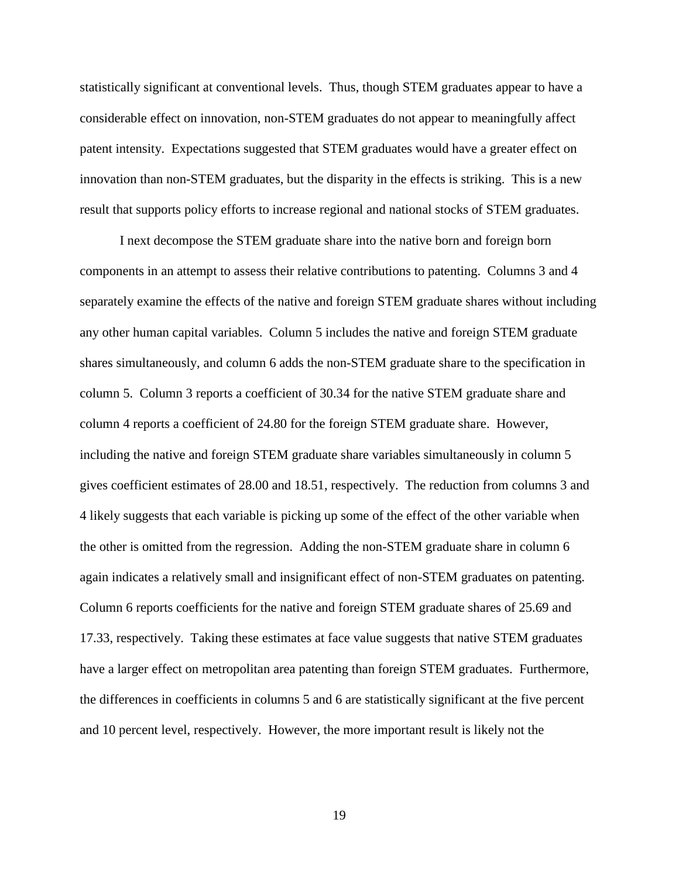statistically significant at conventional levels. Thus, though STEM graduates appear to have a considerable effect on innovation, non-STEM graduates do not appear to meaningfully affect patent intensity. Expectations suggested that STEM graduates would have a greater effect on innovation than non-STEM graduates, but the disparity in the effects is striking. This is a new result that supports policy efforts to increase regional and national stocks of STEM graduates.

I next decompose the STEM graduate share into the native born and foreign born components in an attempt to assess their relative contributions to patenting. Columns 3 and 4 separately examine the effects of the native and foreign STEM graduate shares without including any other human capital variables. Column 5 includes the native and foreign STEM graduate shares simultaneously, and column 6 adds the non-STEM graduate share to the specification in column 5. Column 3 reports a coefficient of 30.34 for the native STEM graduate share and column 4 reports a coefficient of 24.80 for the foreign STEM graduate share. However, including the native and foreign STEM graduate share variables simultaneously in column 5 gives coefficient estimates of 28.00 and 18.51, respectively. The reduction from columns 3 and 4 likely suggests that each variable is picking up some of the effect of the other variable when the other is omitted from the regression. Adding the non-STEM graduate share in column 6 again indicates a relatively small and insignificant effect of non-STEM graduates on patenting. Column 6 reports coefficients for the native and foreign STEM graduate shares of 25.69 and 17.33, respectively. Taking these estimates at face value suggests that native STEM graduates have a larger effect on metropolitan area patenting than foreign STEM graduates. Furthermore, the differences in coefficients in columns 5 and 6 are statistically significant at the five percent and 10 percent level, respectively. However, the more important result is likely not the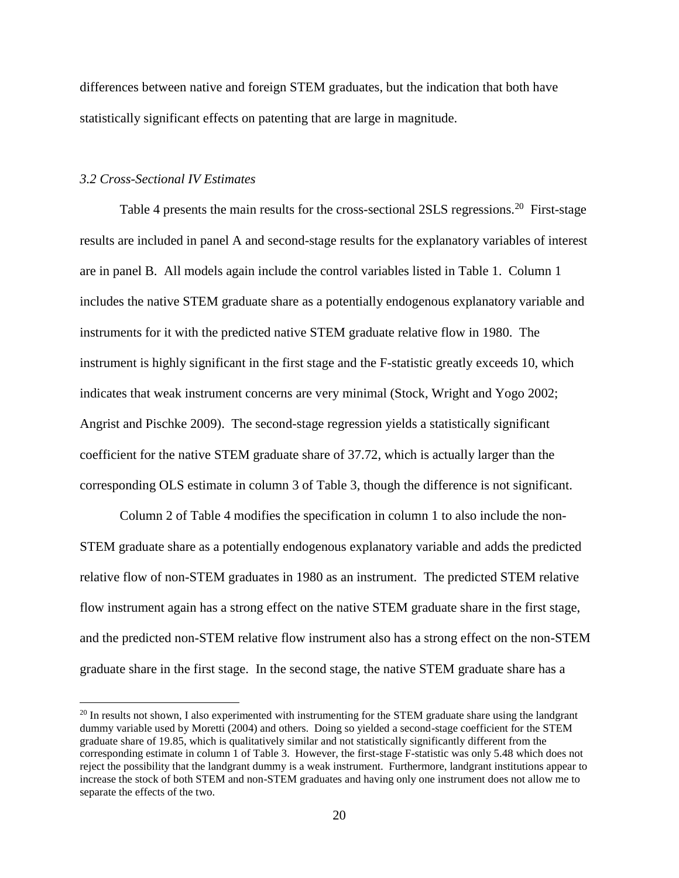differences between native and foreign STEM graduates, but the indication that both have statistically significant effects on patenting that are large in magnitude.

### *3.2 Cross-Sectional IV Estimates*

 $\overline{a}$ 

Table 4 presents the main results for the cross-sectional 2SLS regressions.<sup>20</sup> First-stage results are included in panel A and second-stage results for the explanatory variables of interest are in panel B. All models again include the control variables listed in Table 1. Column 1 includes the native STEM graduate share as a potentially endogenous explanatory variable and instruments for it with the predicted native STEM graduate relative flow in 1980. The instrument is highly significant in the first stage and the F-statistic greatly exceeds 10, which indicates that weak instrument concerns are very minimal (Stock, Wright and Yogo 2002; Angrist and Pischke 2009). The second-stage regression yields a statistically significant coefficient for the native STEM graduate share of 37.72, which is actually larger than the corresponding OLS estimate in column 3 of Table 3, though the difference is not significant.

Column 2 of Table 4 modifies the specification in column 1 to also include the non-STEM graduate share as a potentially endogenous explanatory variable and adds the predicted relative flow of non-STEM graduates in 1980 as an instrument. The predicted STEM relative flow instrument again has a strong effect on the native STEM graduate share in the first stage, and the predicted non-STEM relative flow instrument also has a strong effect on the non-STEM graduate share in the first stage. In the second stage, the native STEM graduate share has a

<sup>&</sup>lt;sup>20</sup> In results not shown, I also experimented with instrumenting for the STEM graduate share using the landgrant dummy variable used by Moretti (2004) and others. Doing so yielded a second-stage coefficient for the STEM graduate share of 19.85, which is qualitatively similar and not statistically significantly different from the corresponding estimate in column 1 of Table 3. However, the first-stage F-statistic was only 5.48 which does not reject the possibility that the landgrant dummy is a weak instrument. Furthermore, landgrant institutions appear to increase the stock of both STEM and non-STEM graduates and having only one instrument does not allow me to separate the effects of the two.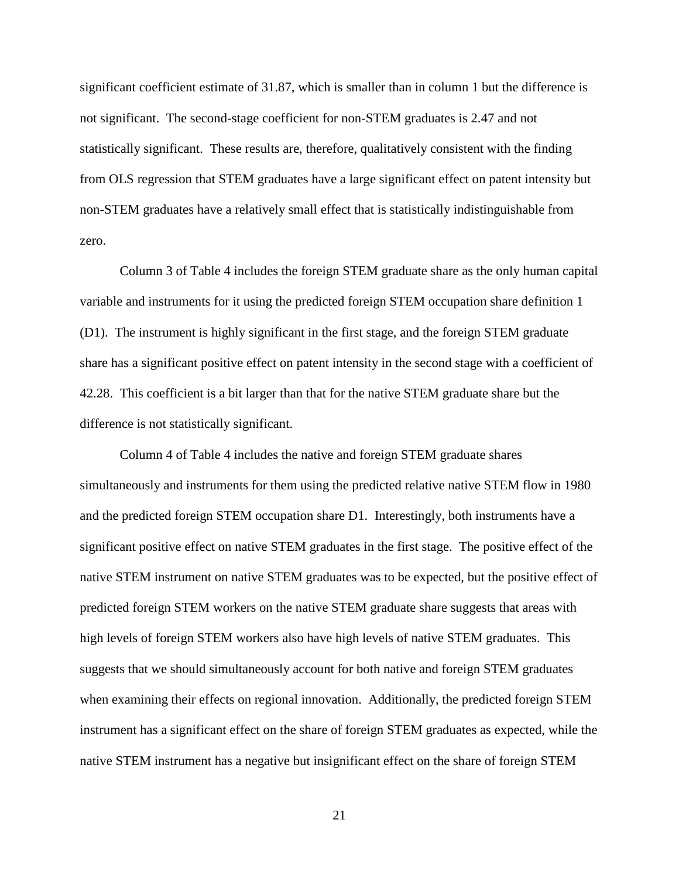significant coefficient estimate of 31.87, which is smaller than in column 1 but the difference is not significant. The second-stage coefficient for non-STEM graduates is 2.47 and not statistically significant. These results are, therefore, qualitatively consistent with the finding from OLS regression that STEM graduates have a large significant effect on patent intensity but non-STEM graduates have a relatively small effect that is statistically indistinguishable from zero.

Column 3 of Table 4 includes the foreign STEM graduate share as the only human capital variable and instruments for it using the predicted foreign STEM occupation share definition 1 (D1). The instrument is highly significant in the first stage, and the foreign STEM graduate share has a significant positive effect on patent intensity in the second stage with a coefficient of 42.28. This coefficient is a bit larger than that for the native STEM graduate share but the difference is not statistically significant.

Column 4 of Table 4 includes the native and foreign STEM graduate shares simultaneously and instruments for them using the predicted relative native STEM flow in 1980 and the predicted foreign STEM occupation share D1. Interestingly, both instruments have a significant positive effect on native STEM graduates in the first stage. The positive effect of the native STEM instrument on native STEM graduates was to be expected, but the positive effect of predicted foreign STEM workers on the native STEM graduate share suggests that areas with high levels of foreign STEM workers also have high levels of native STEM graduates. This suggests that we should simultaneously account for both native and foreign STEM graduates when examining their effects on regional innovation. Additionally, the predicted foreign STEM instrument has a significant effect on the share of foreign STEM graduates as expected, while the native STEM instrument has a negative but insignificant effect on the share of foreign STEM

21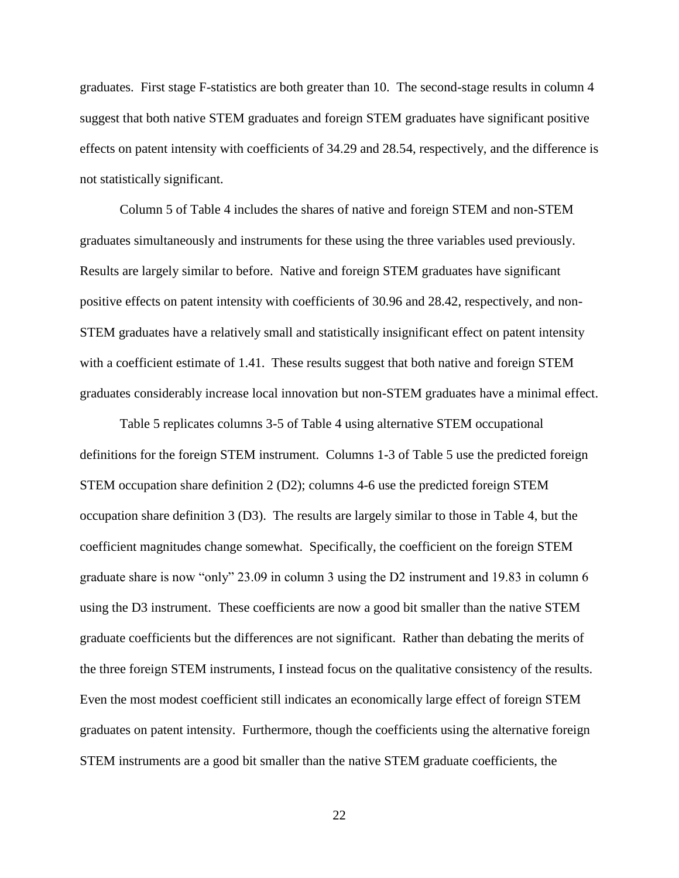graduates. First stage F-statistics are both greater than 10. The second-stage results in column 4 suggest that both native STEM graduates and foreign STEM graduates have significant positive effects on patent intensity with coefficients of 34.29 and 28.54, respectively, and the difference is not statistically significant.

Column 5 of Table 4 includes the shares of native and foreign STEM and non-STEM graduates simultaneously and instruments for these using the three variables used previously. Results are largely similar to before. Native and foreign STEM graduates have significant positive effects on patent intensity with coefficients of 30.96 and 28.42, respectively, and non-STEM graduates have a relatively small and statistically insignificant effect on patent intensity with a coefficient estimate of 1.41. These results suggest that both native and foreign STEM graduates considerably increase local innovation but non-STEM graduates have a minimal effect.

Table 5 replicates columns 3-5 of Table 4 using alternative STEM occupational definitions for the foreign STEM instrument. Columns 1-3 of Table 5 use the predicted foreign STEM occupation share definition 2 (D2); columns 4-6 use the predicted foreign STEM occupation share definition 3 (D3). The results are largely similar to those in Table 4, but the coefficient magnitudes change somewhat. Specifically, the coefficient on the foreign STEM graduate share is now "only" 23.09 in column 3 using the D2 instrument and 19.83 in column 6 using the D3 instrument. These coefficients are now a good bit smaller than the native STEM graduate coefficients but the differences are not significant. Rather than debating the merits of the three foreign STEM instruments, I instead focus on the qualitative consistency of the results. Even the most modest coefficient still indicates an economically large effect of foreign STEM graduates on patent intensity. Furthermore, though the coefficients using the alternative foreign STEM instruments are a good bit smaller than the native STEM graduate coefficients, the

22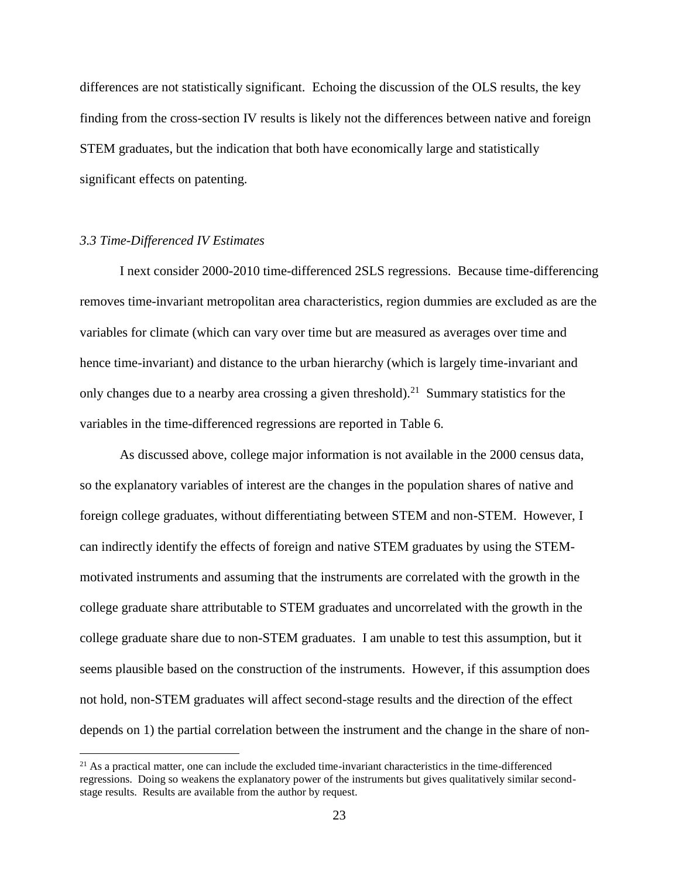differences are not statistically significant. Echoing the discussion of the OLS results, the key finding from the cross-section IV results is likely not the differences between native and foreign STEM graduates, but the indication that both have economically large and statistically significant effects on patenting.

# *3.3 Time-Differenced IV Estimates*

 $\overline{a}$ 

I next consider 2000-2010 time-differenced 2SLS regressions. Because time-differencing removes time-invariant metropolitan area characteristics, region dummies are excluded as are the variables for climate (which can vary over time but are measured as averages over time and hence time-invariant) and distance to the urban hierarchy (which is largely time-invariant and only changes due to a nearby area crossing a given threshold).<sup>21</sup> Summary statistics for the variables in the time-differenced regressions are reported in Table 6.

As discussed above, college major information is not available in the 2000 census data, so the explanatory variables of interest are the changes in the population shares of native and foreign college graduates, without differentiating between STEM and non-STEM. However, I can indirectly identify the effects of foreign and native STEM graduates by using the STEMmotivated instruments and assuming that the instruments are correlated with the growth in the college graduate share attributable to STEM graduates and uncorrelated with the growth in the college graduate share due to non-STEM graduates. I am unable to test this assumption, but it seems plausible based on the construction of the instruments. However, if this assumption does not hold, non-STEM graduates will affect second-stage results and the direction of the effect depends on 1) the partial correlation between the instrument and the change in the share of non-

 $21$  As a practical matter, one can include the excluded time-invariant characteristics in the time-differenced regressions. Doing so weakens the explanatory power of the instruments but gives qualitatively similar secondstage results. Results are available from the author by request.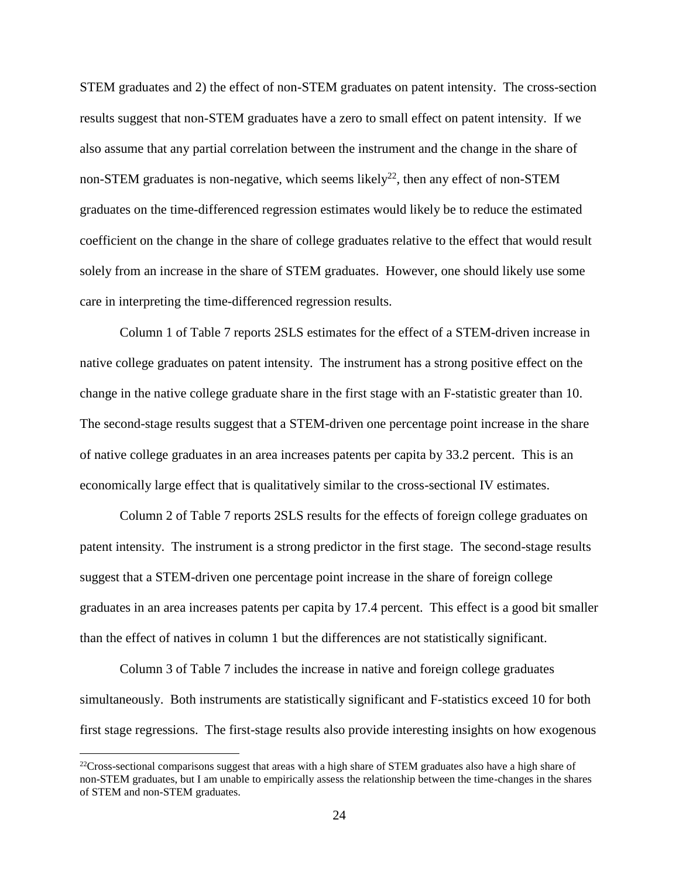STEM graduates and 2) the effect of non-STEM graduates on patent intensity. The cross-section results suggest that non-STEM graduates have a zero to small effect on patent intensity. If we also assume that any partial correlation between the instrument and the change in the share of non-STEM graduates is non-negative, which seems likely<sup>22</sup>, then any effect of non-STEM graduates on the time-differenced regression estimates would likely be to reduce the estimated coefficient on the change in the share of college graduates relative to the effect that would result solely from an increase in the share of STEM graduates. However, one should likely use some care in interpreting the time-differenced regression results.

Column 1 of Table 7 reports 2SLS estimates for the effect of a STEM-driven increase in native college graduates on patent intensity. The instrument has a strong positive effect on the change in the native college graduate share in the first stage with an F-statistic greater than 10. The second-stage results suggest that a STEM-driven one percentage point increase in the share of native college graduates in an area increases patents per capita by 33.2 percent. This is an economically large effect that is qualitatively similar to the cross-sectional IV estimates.

Column 2 of Table 7 reports 2SLS results for the effects of foreign college graduates on patent intensity. The instrument is a strong predictor in the first stage. The second-stage results suggest that a STEM-driven one percentage point increase in the share of foreign college graduates in an area increases patents per capita by 17.4 percent. This effect is a good bit smaller than the effect of natives in column 1 but the differences are not statistically significant.

Column 3 of Table 7 includes the increase in native and foreign college graduates simultaneously. Both instruments are statistically significant and F-statistics exceed 10 for both first stage regressions. The first-stage results also provide interesting insights on how exogenous

 $22$ Cross-sectional comparisons suggest that areas with a high share of STEM graduates also have a high share of non-STEM graduates, but I am unable to empirically assess the relationship between the time-changes in the shares of STEM and non-STEM graduates.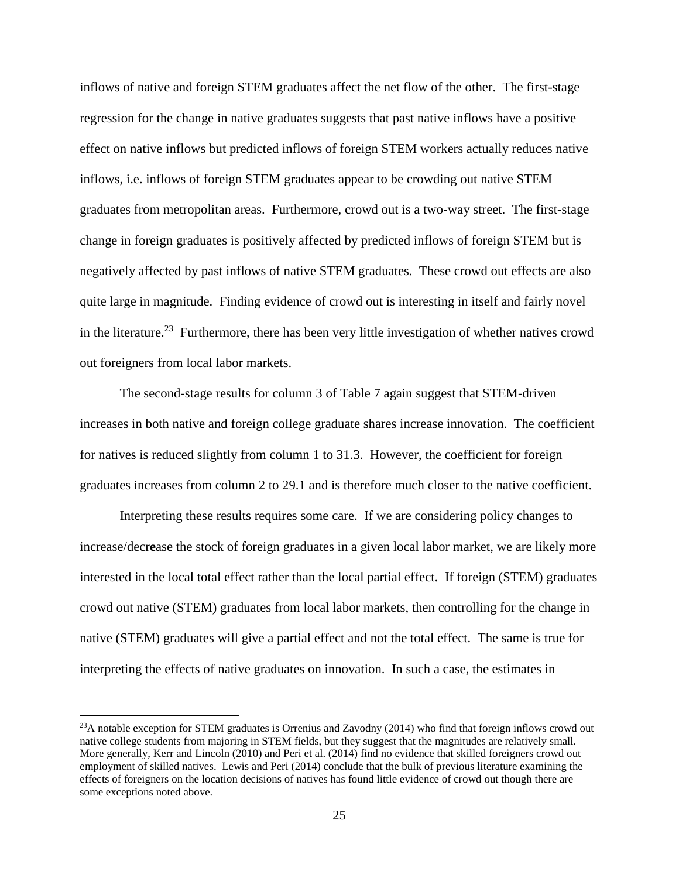inflows of native and foreign STEM graduates affect the net flow of the other. The first-stage regression for the change in native graduates suggests that past native inflows have a positive effect on native inflows but predicted inflows of foreign STEM workers actually reduces native inflows, i.e. inflows of foreign STEM graduates appear to be crowding out native STEM graduates from metropolitan areas. Furthermore, crowd out is a two-way street. The first-stage change in foreign graduates is positively affected by predicted inflows of foreign STEM but is negatively affected by past inflows of native STEM graduates. These crowd out effects are also quite large in magnitude. Finding evidence of crowd out is interesting in itself and fairly novel in the literature.<sup>23</sup> Furthermore, there has been very little investigation of whether natives crowd out foreigners from local labor markets.

The second-stage results for column 3 of Table 7 again suggest that STEM-driven increases in both native and foreign college graduate shares increase innovation. The coefficient for natives is reduced slightly from column 1 to 31.3. However, the coefficient for foreign graduates increases from column 2 to 29.1 and is therefore much closer to the native coefficient.

Interpreting these results requires some care. If we are considering policy changes to increase/decr**e**ase the stock of foreign graduates in a given local labor market, we are likely more interested in the local total effect rather than the local partial effect. If foreign (STEM) graduates crowd out native (STEM) graduates from local labor markets, then controlling for the change in native (STEM) graduates will give a partial effect and not the total effect. The same is true for interpreting the effects of native graduates on innovation. In such a case, the estimates in

 $^{23}$ A notable exception for STEM graduates is Orrenius and Zavodny (2014) who find that foreign inflows crowd out native college students from majoring in STEM fields, but they suggest that the magnitudes are relatively small. More generally, Kerr and Lincoln (2010) and Peri et al. (2014) find no evidence that skilled foreigners crowd out employment of skilled natives. Lewis and Peri (2014) conclude that the bulk of previous literature examining the effects of foreigners on the location decisions of natives has found little evidence of crowd out though there are some exceptions noted above.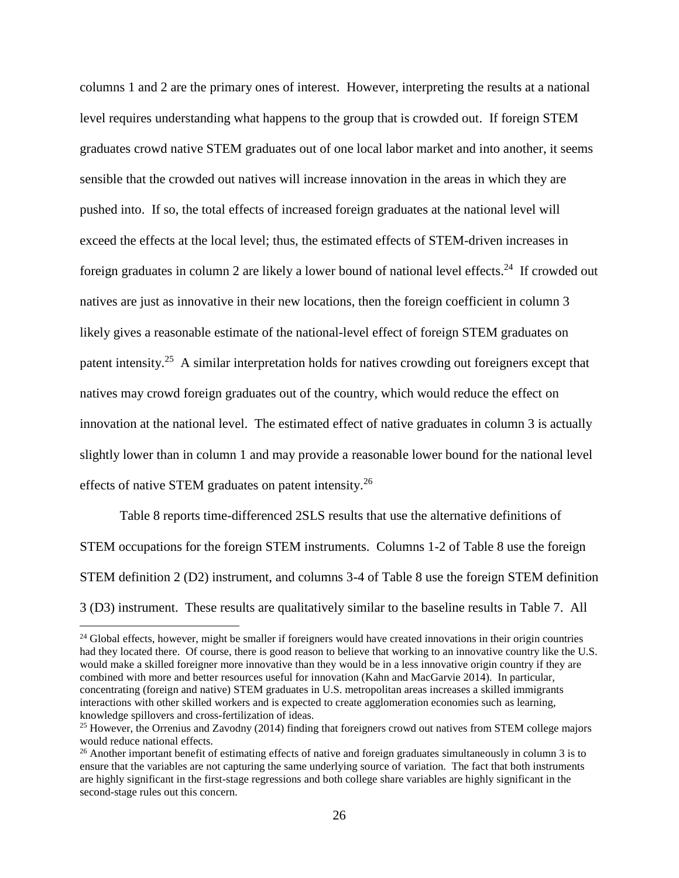columns 1 and 2 are the primary ones of interest. However, interpreting the results at a national level requires understanding what happens to the group that is crowded out. If foreign STEM graduates crowd native STEM graduates out of one local labor market and into another, it seems sensible that the crowded out natives will increase innovation in the areas in which they are pushed into. If so, the total effects of increased foreign graduates at the national level will exceed the effects at the local level; thus, the estimated effects of STEM-driven increases in foreign graduates in column 2 are likely a lower bound of national level effects.<sup>24</sup> If crowded out natives are just as innovative in their new locations, then the foreign coefficient in column 3 likely gives a reasonable estimate of the national-level effect of foreign STEM graduates on patent intensity.<sup>25</sup> A similar interpretation holds for natives crowding out foreigners except that natives may crowd foreign graduates out of the country, which would reduce the effect on innovation at the national level. The estimated effect of native graduates in column 3 is actually slightly lower than in column 1 and may provide a reasonable lower bound for the national level effects of native STEM graduates on patent intensity.<sup>26</sup>

Table 8 reports time-differenced 2SLS results that use the alternative definitions of STEM occupations for the foreign STEM instruments. Columns 1-2 of Table 8 use the foreign STEM definition 2 (D2) instrument, and columns 3-4 of Table 8 use the foreign STEM definition 3 (D3) instrument. These results are qualitatively similar to the baseline results in Table 7. All

<sup>&</sup>lt;sup>24</sup> Global effects, however, might be smaller if foreigners would have created innovations in their origin countries had they located there. Of course, there is good reason to believe that working to an innovative country like the U.S. would make a skilled foreigner more innovative than they would be in a less innovative origin country if they are combined with more and better resources useful for innovation (Kahn and MacGarvie 2014). In particular, concentrating (foreign and native) STEM graduates in U.S. metropolitan areas increases a skilled immigrants interactions with other skilled workers and is expected to create agglomeration economies such as learning, knowledge spillovers and cross-fertilization of ideas.

<sup>&</sup>lt;sup>25</sup> However, the Orrenius and Zavodny (2014) finding that foreigners crowd out natives from STEM college majors would reduce national effects.

 $^{26}$  Another important benefit of estimating effects of native and foreign graduates simultaneously in column 3 is to ensure that the variables are not capturing the same underlying source of variation. The fact that both instruments are highly significant in the first-stage regressions and both college share variables are highly significant in the second-stage rules out this concern.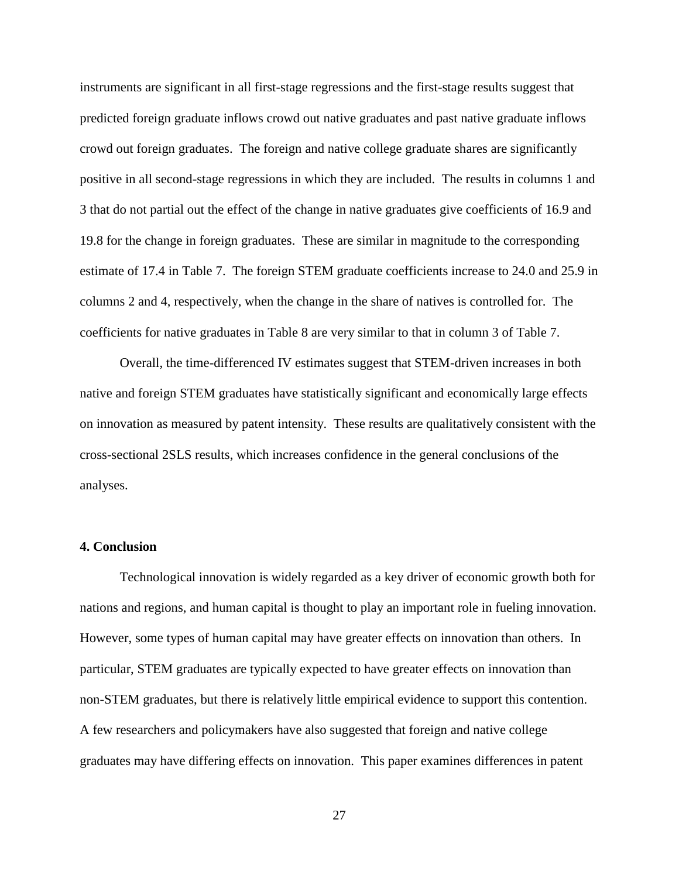instruments are significant in all first-stage regressions and the first-stage results suggest that predicted foreign graduate inflows crowd out native graduates and past native graduate inflows crowd out foreign graduates. The foreign and native college graduate shares are significantly positive in all second-stage regressions in which they are included. The results in columns 1 and 3 that do not partial out the effect of the change in native graduates give coefficients of 16.9 and 19.8 for the change in foreign graduates. These are similar in magnitude to the corresponding estimate of 17.4 in Table 7. The foreign STEM graduate coefficients increase to 24.0 and 25.9 in columns 2 and 4, respectively, when the change in the share of natives is controlled for. The coefficients for native graduates in Table 8 are very similar to that in column 3 of Table 7.

Overall, the time-differenced IV estimates suggest that STEM-driven increases in both native and foreign STEM graduates have statistically significant and economically large effects on innovation as measured by patent intensity. These results are qualitatively consistent with the cross-sectional 2SLS results, which increases confidence in the general conclusions of the analyses.

# **4. Conclusion**

Technological innovation is widely regarded as a key driver of economic growth both for nations and regions, and human capital is thought to play an important role in fueling innovation. However, some types of human capital may have greater effects on innovation than others. In particular, STEM graduates are typically expected to have greater effects on innovation than non-STEM graduates, but there is relatively little empirical evidence to support this contention. A few researchers and policymakers have also suggested that foreign and native college graduates may have differing effects on innovation. This paper examines differences in patent

27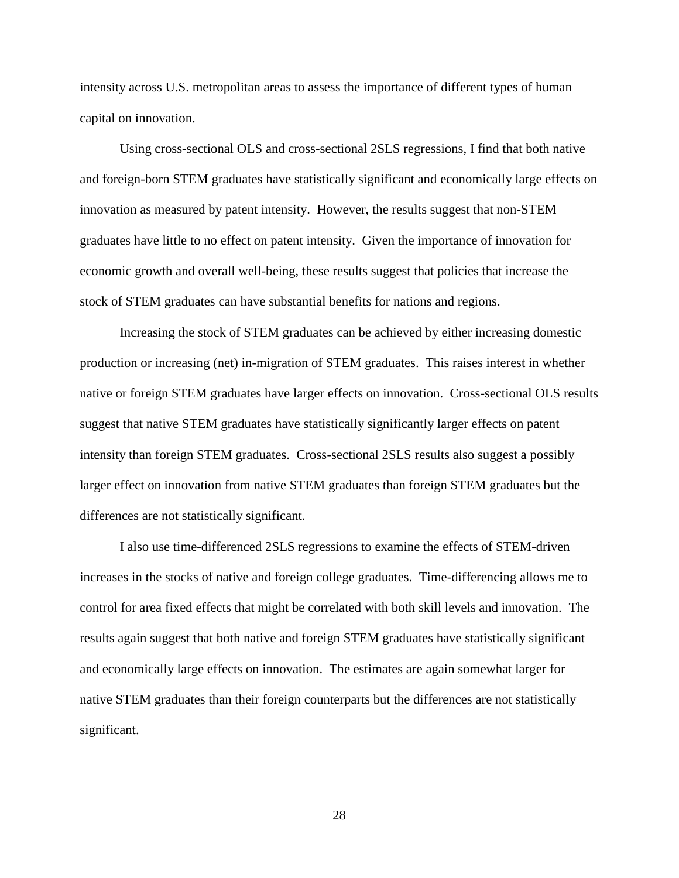intensity across U.S. metropolitan areas to assess the importance of different types of human capital on innovation.

Using cross-sectional OLS and cross-sectional 2SLS regressions, I find that both native and foreign-born STEM graduates have statistically significant and economically large effects on innovation as measured by patent intensity. However, the results suggest that non-STEM graduates have little to no effect on patent intensity. Given the importance of innovation for economic growth and overall well-being, these results suggest that policies that increase the stock of STEM graduates can have substantial benefits for nations and regions.

Increasing the stock of STEM graduates can be achieved by either increasing domestic production or increasing (net) in-migration of STEM graduates. This raises interest in whether native or foreign STEM graduates have larger effects on innovation. Cross-sectional OLS results suggest that native STEM graduates have statistically significantly larger effects on patent intensity than foreign STEM graduates. Cross-sectional 2SLS results also suggest a possibly larger effect on innovation from native STEM graduates than foreign STEM graduates but the differences are not statistically significant.

I also use time-differenced 2SLS regressions to examine the effects of STEM-driven increases in the stocks of native and foreign college graduates. Time-differencing allows me to control for area fixed effects that might be correlated with both skill levels and innovation. The results again suggest that both native and foreign STEM graduates have statistically significant and economically large effects on innovation. The estimates are again somewhat larger for native STEM graduates than their foreign counterparts but the differences are not statistically significant.

28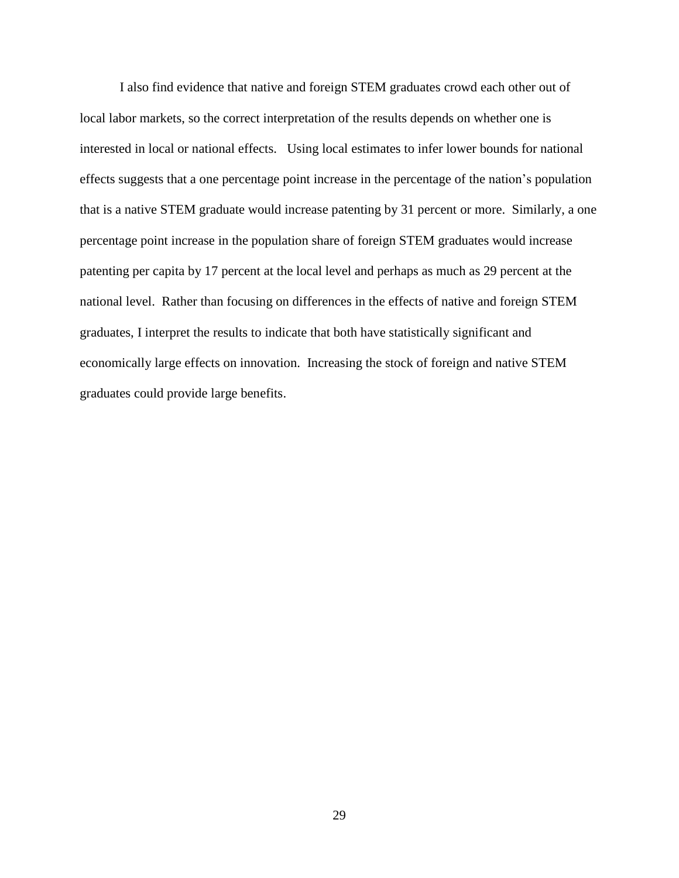I also find evidence that native and foreign STEM graduates crowd each other out of local labor markets, so the correct interpretation of the results depends on whether one is interested in local or national effects. Using local estimates to infer lower bounds for national effects suggests that a one percentage point increase in the percentage of the nation's population that is a native STEM graduate would increase patenting by 31 percent or more. Similarly, a one percentage point increase in the population share of foreign STEM graduates would increase patenting per capita by 17 percent at the local level and perhaps as much as 29 percent at the national level. Rather than focusing on differences in the effects of native and foreign STEM graduates, I interpret the results to indicate that both have statistically significant and economically large effects on innovation. Increasing the stock of foreign and native STEM graduates could provide large benefits.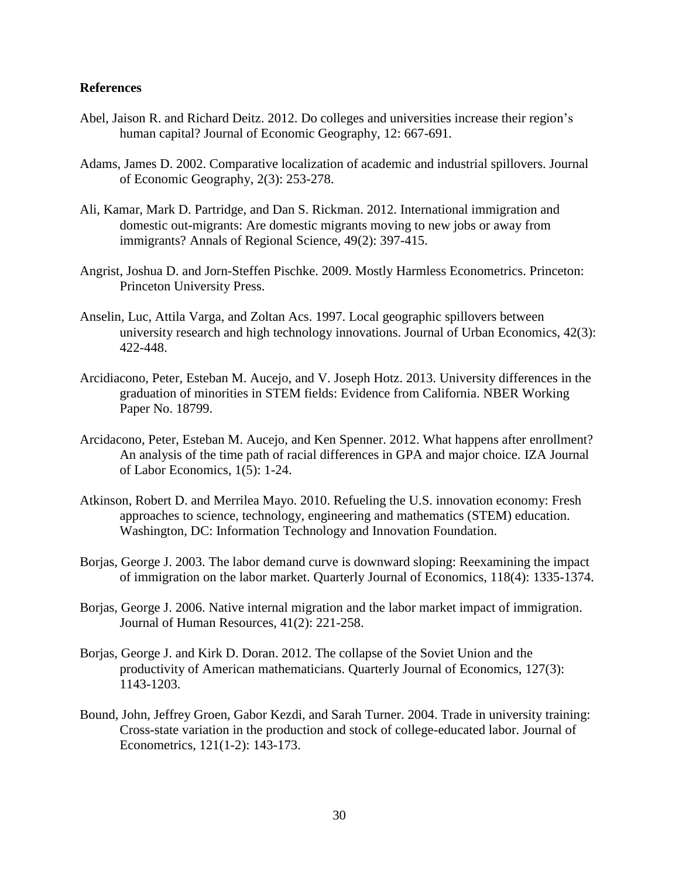# **References**

- Abel, Jaison R. and Richard Deitz. 2012. Do colleges and universities increase their region's human capital? Journal of Economic Geography, 12: 667-691.
- Adams, James D. 2002. Comparative localization of academic and industrial spillovers. Journal of Economic Geography, 2(3): 253-278.
- Ali, Kamar, Mark D. Partridge, and Dan S. Rickman. 2012. International immigration and domestic out-migrants: Are domestic migrants moving to new jobs or away from immigrants? Annals of Regional Science, 49(2): 397-415.
- Angrist, Joshua D. and Jorn-Steffen Pischke. 2009. Mostly Harmless Econometrics. Princeton: Princeton University Press.
- Anselin, Luc, Attila Varga, and Zoltan Acs. 1997. Local geographic spillovers between university research and high technology innovations. Journal of Urban Economics, 42(3): 422-448.
- Arcidiacono, Peter, Esteban M. Aucejo, and V. Joseph Hotz. 2013. University differences in the graduation of minorities in STEM fields: Evidence from California. NBER Working Paper No. 18799.
- Arcidacono, Peter, Esteban M. Aucejo, and Ken Spenner. 2012. What happens after enrollment? An analysis of the time path of racial differences in GPA and major choice. IZA Journal of Labor Economics*,* 1(5): 1-24.
- Atkinson, Robert D. and Merrilea Mayo. 2010. Refueling the U.S. innovation economy: Fresh approaches to science, technology, engineering and mathematics (STEM) education. Washington, DC: Information Technology and Innovation Foundation.
- Borjas, George J. 2003. The labor demand curve is downward sloping: Reexamining the impact of immigration on the labor market. Quarterly Journal of Economics, 118(4): 1335-1374.
- Borjas, George J. 2006. Native internal migration and the labor market impact of immigration. Journal of Human Resources, 41(2): 221-258.
- Borjas, George J. and Kirk D. Doran. 2012. The collapse of the Soviet Union and the productivity of American mathematicians. Quarterly Journal of Economics, 127(3): 1143-1203.
- Bound, John, Jeffrey Groen, Gabor Kezdi, and Sarah Turner. 2004. Trade in university training: Cross-state variation in the production and stock of college-educated labor. Journal of Econometrics, 121(1-2): 143-173.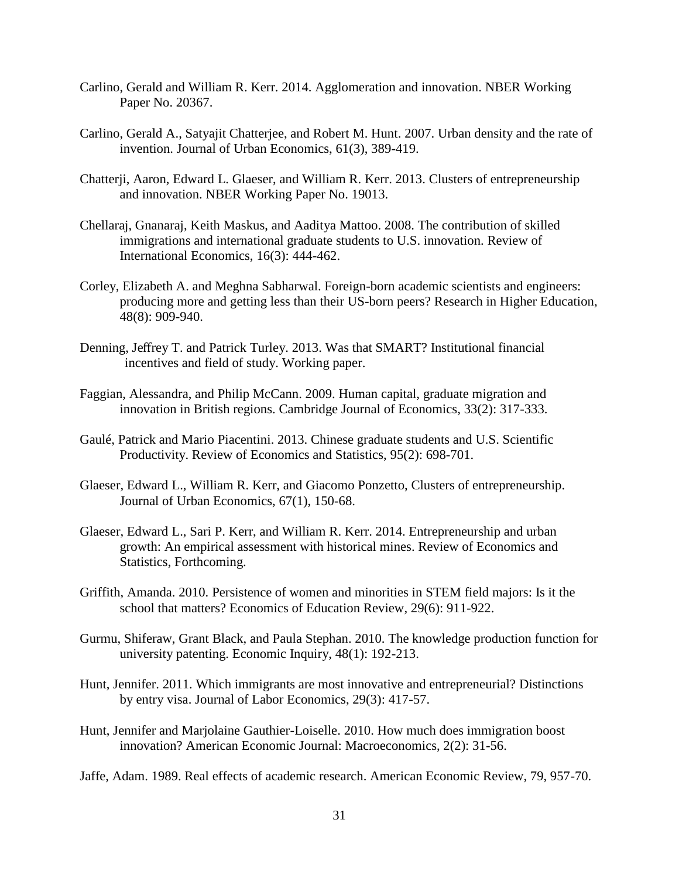- Carlino, Gerald and William R. Kerr. 2014. Agglomeration and innovation. NBER Working Paper No. 20367.
- Carlino, Gerald A., Satyajit Chatterjee, and Robert M. Hunt. 2007. Urban density and the rate of invention. Journal of Urban Economics, 61(3), 389-419.
- Chatterji, Aaron, Edward L. Glaeser, and William R. Kerr. 2013. Clusters of entrepreneurship and innovation. NBER Working Paper No. 19013.
- Chellaraj, Gnanaraj, Keith Maskus, and Aaditya Mattoo. 2008. The contribution of skilled immigrations and international graduate students to U.S. innovation. Review of International Economics, 16(3): 444-462.
- Corley, Elizabeth A. and Meghna Sabharwal. Foreign-born academic scientists and engineers: producing more and getting less than their US-born peers? Research in Higher Education, 48(8): 909-940.
- Denning, Jeffrey T. and Patrick Turley. 2013. Was that SMART? Institutional financial incentives and field of study. Working paper.
- Faggian, Alessandra, and Philip McCann. 2009. Human capital, graduate migration and innovation in British regions. Cambridge Journal of Economics, 33(2): 317-333.
- Gaulé, Patrick and Mario Piacentini. 2013. Chinese graduate students and U.S. Scientific Productivity. Review of Economics and Statistics, 95(2): 698-701.
- Glaeser, Edward L., William R. Kerr, and Giacomo Ponzetto, Clusters of entrepreneurship. Journal of Urban Economics, 67(1), 150-68.
- Glaeser, Edward L., Sari P. Kerr, and William R. Kerr. 2014. Entrepreneurship and urban growth: An empirical assessment with historical mines. Review of Economics and Statistics, Forthcoming.
- Griffith, Amanda. 2010. Persistence of women and minorities in STEM field majors: Is it the school that matters? Economics of Education Review, 29(6): 911-922.
- Gurmu, Shiferaw, Grant Black, and Paula Stephan. 2010. The knowledge production function for university patenting. Economic Inquiry, 48(1): 192-213.
- Hunt, Jennifer. 2011. Which immigrants are most innovative and entrepreneurial? Distinctions by entry visa. Journal of Labor Economics, 29(3): 417-57.
- Hunt, Jennifer and Marjolaine Gauthier-Loiselle. 2010. How much does immigration boost innovation? American Economic Journal: Macroeconomics, 2(2): 31-56.

Jaffe, Adam. 1989. Real effects of academic research. American Economic Review, 79, 957-70.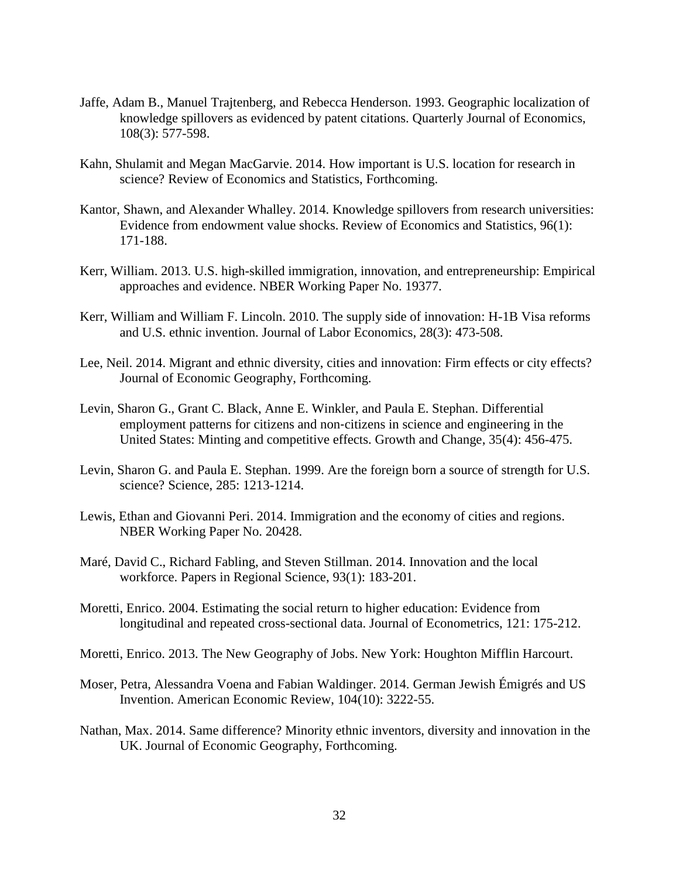- Jaffe, Adam B., Manuel Trajtenberg, and Rebecca Henderson. 1993. Geographic localization of knowledge spillovers as evidenced by patent citations. Quarterly Journal of Economics, 108(3): 577-598.
- Kahn, Shulamit and Megan MacGarvie. 2014. How important is U.S. location for research in science? Review of Economics and Statistics, Forthcoming.
- Kantor, Shawn, and Alexander Whalley. 2014. Knowledge spillovers from research universities: Evidence from endowment value shocks. Review of Economics and Statistics, 96(1): 171-188.
- Kerr, William. 2013. U.S. high-skilled immigration, innovation, and entrepreneurship: Empirical approaches and evidence. NBER Working Paper No. 19377.
- Kerr, William and William F. Lincoln. 2010. The supply side of innovation: H-1B Visa reforms and U.S. ethnic invention. Journal of Labor Economics, 28(3): 473-508.
- Lee, Neil. 2014. Migrant and ethnic diversity, cities and innovation: Firm effects or city effects? Journal of Economic Geography, Forthcoming.
- Levin, Sharon G., Grant C. Black, Anne E. Winkler, and Paula E. Stephan. Differential employment patterns for citizens and non-citizens in science and engineering in the United States: Minting and competitive effects. Growth and Change, 35(4): 456-475.
- Levin, Sharon G. and Paula E. Stephan. 1999. Are the foreign born a source of strength for U.S. science? Science, 285: 1213-1214.
- Lewis, Ethan and Giovanni Peri. 2014. Immigration and the economy of cities and regions. NBER Working Paper No. 20428.
- Maré, David C., Richard Fabling, and Steven Stillman. 2014. Innovation and the local workforce. Papers in Regional Science, 93(1): 183-201.
- Moretti, Enrico. 2004. Estimating the social return to higher education: Evidence from longitudinal and repeated cross-sectional data. Journal of Econometrics, 121: 175-212.
- Moretti, Enrico. 2013. The New Geography of Jobs. New York: Houghton Mifflin Harcourt.
- Moser, Petra, Alessandra Voena and Fabian Waldinger. 2014. German Jewish Émigrés and US Invention. American Economic Review, 104(10): 3222-55.
- Nathan, Max. 2014. Same difference? Minority ethnic inventors, diversity and innovation in the UK. Journal of Economic Geography, Forthcoming.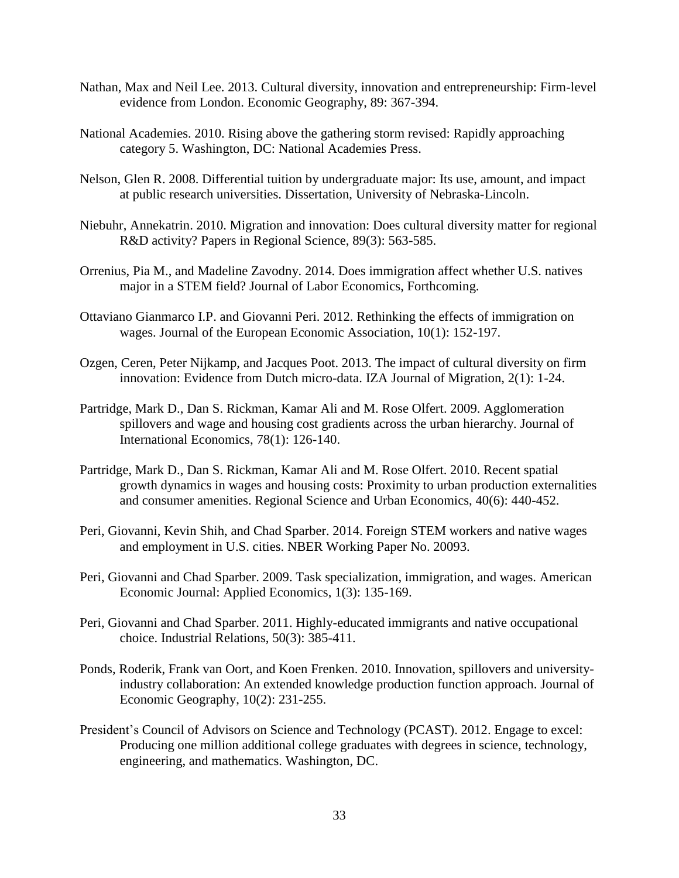- Nathan, Max and Neil Lee. 2013. Cultural diversity, innovation and entrepreneurship: Firm-level evidence from London. Economic Geography, 89: 367-394.
- National Academies. 2010. Rising above the gathering storm revised: Rapidly approaching category 5. Washington, DC: National Academies Press.
- Nelson, Glen R. 2008. Differential tuition by undergraduate major: Its use, amount, and impact at public research universities. Dissertation, University of Nebraska-Lincoln.
- Niebuhr, Annekatrin. 2010. Migration and innovation: Does cultural diversity matter for regional R&D activity? Papers in Regional Science, 89(3): 563-585.
- Orrenius, Pia M., and Madeline Zavodny. 2014. Does immigration affect whether U.S. natives major in a STEM field? Journal of Labor Economics, Forthcoming.
- Ottaviano Gianmarco I.P. and Giovanni Peri. 2012. Rethinking the effects of immigration on wages. Journal of the European Economic Association, 10(1): 152-197.
- Ozgen, Ceren, Peter Nijkamp, and Jacques Poot. 2013. The impact of cultural diversity on firm innovation: Evidence from Dutch micro-data. IZA Journal of Migration, 2(1): 1-24.
- Partridge, Mark D., Dan S. Rickman, Kamar Ali and M. Rose Olfert. 2009. Agglomeration spillovers and wage and housing cost gradients across the urban hierarchy. Journal of International Economics, 78(1): 126-140.
- Partridge, Mark D., Dan S. Rickman, Kamar Ali and M. Rose Olfert. 2010. Recent spatial growth dynamics in wages and housing costs: Proximity to urban production externalities and consumer amenities. Regional Science and Urban Economics, 40(6): 440-452.
- Peri, Giovanni, Kevin Shih, and Chad Sparber. 2014. Foreign STEM workers and native wages and employment in U.S. cities. NBER Working Paper No. 20093.
- Peri, Giovanni and Chad Sparber. 2009. Task specialization, immigration, and wages. American Economic Journal: Applied Economics, 1(3): 135-169.
- Peri, Giovanni and Chad Sparber. 2011. Highly-educated immigrants and native occupational choice. Industrial Relations, 50(3): 385-411.
- Ponds, Roderik, Frank van Oort, and Koen Frenken. 2010. Innovation, spillovers and universityindustry collaboration: An extended knowledge production function approach. Journal of Economic Geography, 10(2): 231-255.
- President's Council of Advisors on Science and Technology (PCAST). 2012. Engage to excel: Producing one million additional college graduates with degrees in science, technology, engineering, and mathematics. Washington, DC.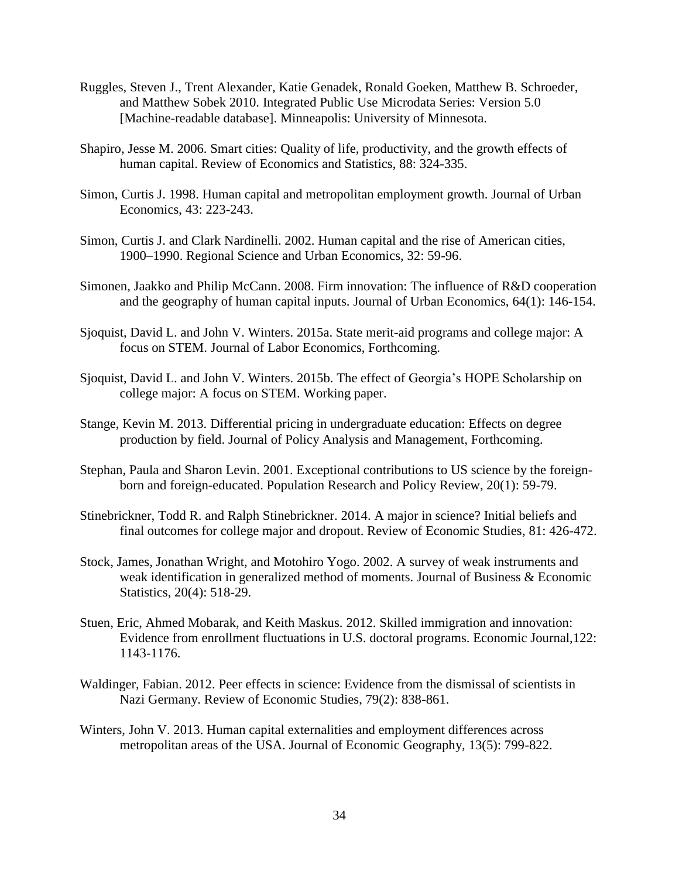- Ruggles, Steven J., Trent Alexander, Katie Genadek, Ronald Goeken, Matthew B. Schroeder, and Matthew Sobek 2010. Integrated Public Use Microdata Series: Version 5.0 [Machine-readable database]. Minneapolis: University of Minnesota.
- Shapiro, Jesse M. 2006. Smart cities: Quality of life, productivity, and the growth effects of human capital. Review of Economics and Statistics, 88: 324-335.
- Simon, Curtis J. 1998. Human capital and metropolitan employment growth. Journal of Urban Economics, 43: 223-243.
- Simon, Curtis J. and Clark Nardinelli. 2002. Human capital and the rise of American cities, 1900–1990. Regional Science and Urban Economics, 32: 59-96.
- Simonen, Jaakko and Philip McCann. 2008. Firm innovation: The influence of R&D cooperation and the geography of human capital inputs. Journal of Urban Economics, 64(1): 146-154.
- Sjoquist, David L. and John V. Winters. 2015a. State merit-aid programs and college major: A focus on STEM. Journal of Labor Economics, Forthcoming.
- Sjoquist, David L. and John V. Winters. 2015b. The effect of Georgia's HOPE Scholarship on college major: A focus on STEM. Working paper.
- Stange, Kevin M. 2013. Differential pricing in undergraduate education: Effects on degree production by field. Journal of Policy Analysis and Management, Forthcoming.
- Stephan, Paula and Sharon Levin. 2001. Exceptional contributions to US science by the foreignborn and foreign-educated. Population Research and Policy Review, 20(1): 59-79.
- Stinebrickner, Todd R. and Ralph Stinebrickner. 2014. A major in science? Initial beliefs and final outcomes for college major and dropout. Review of Economic Studies, 81: 426-472.
- Stock, James, Jonathan Wright, and Motohiro Yogo. 2002. A survey of weak instruments and weak identification in generalized method of moments. Journal of Business & Economic Statistics, 20(4): 518-29.
- Stuen, Eric, Ahmed Mobarak, and Keith Maskus. 2012. Skilled immigration and innovation: Evidence from enrollment fluctuations in U.S. doctoral programs. Economic Journal,122: 1143-1176.
- Waldinger, Fabian. 2012. Peer effects in science: Evidence from the dismissal of scientists in Nazi Germany. Review of Economic Studies, 79(2): 838-861.
- Winters, John V. 2013. Human capital externalities and employment differences across metropolitan areas of the USA. Journal of Economic Geography, 13(5): 799-822.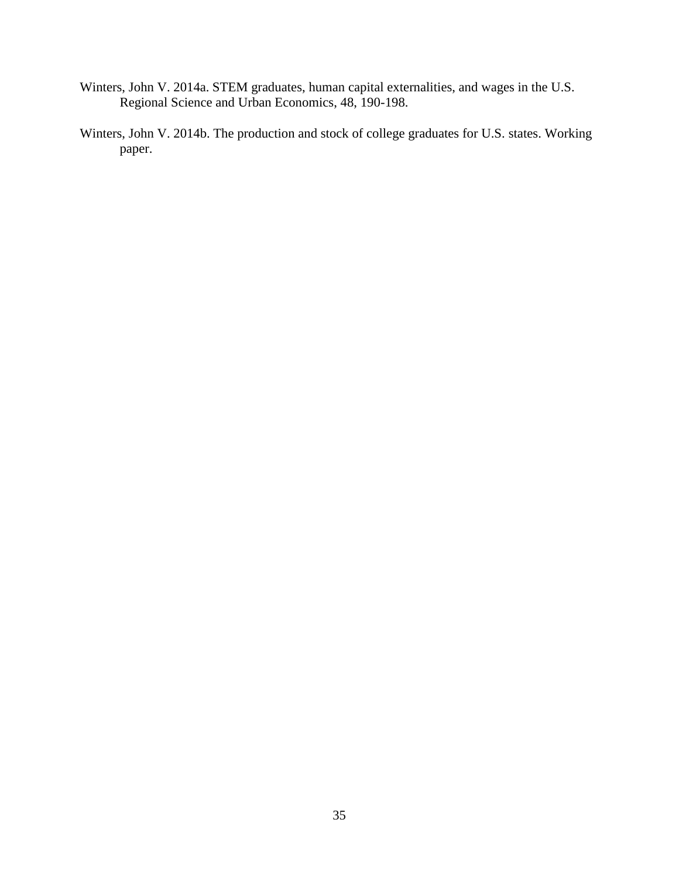- Winters, John V. 2014a. STEM graduates, human capital externalities, and wages in the U.S. Regional Science and Urban Economics, 48, 190-198.
- Winters, John V. 2014b. The production and stock of college graduates for U.S. states. Working paper.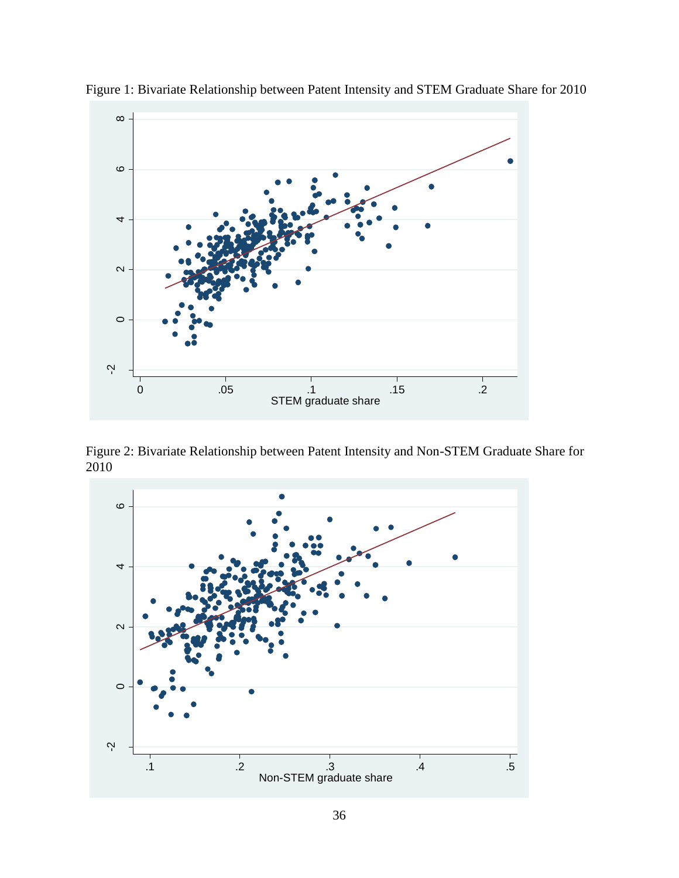

Figure 1: Bivariate Relationship between Patent Intensity and STEM Graduate Share for 2010

Figure 2: Bivariate Relationship between Patent Intensity and Non-STEM Graduate Share for 2010

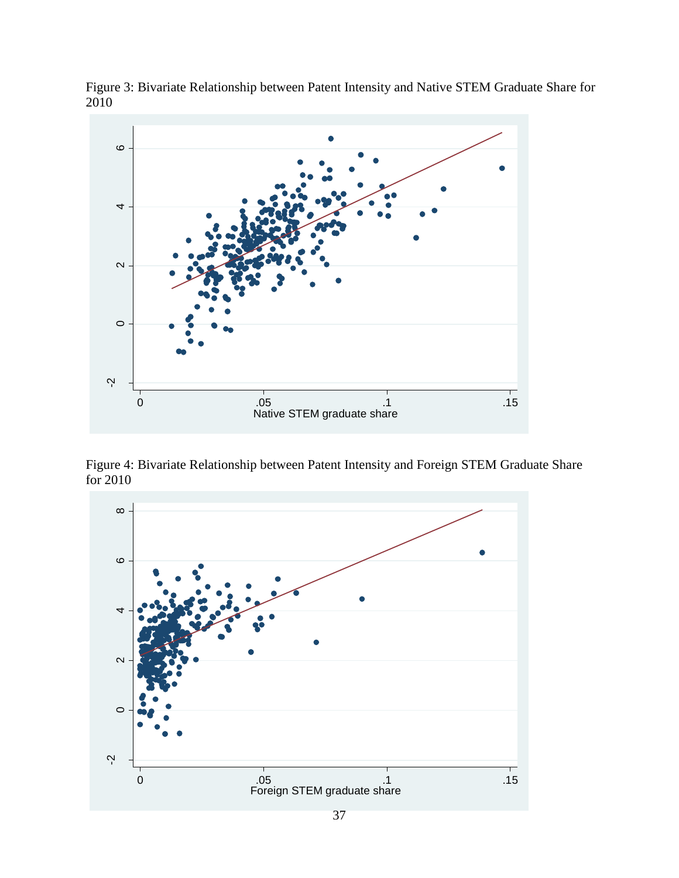

Figure 3: Bivariate Relationship between Patent Intensity and Native STEM Graduate Share for 2010

Figure 4: Bivariate Relationship between Patent Intensity and Foreign STEM Graduate Share for 2010

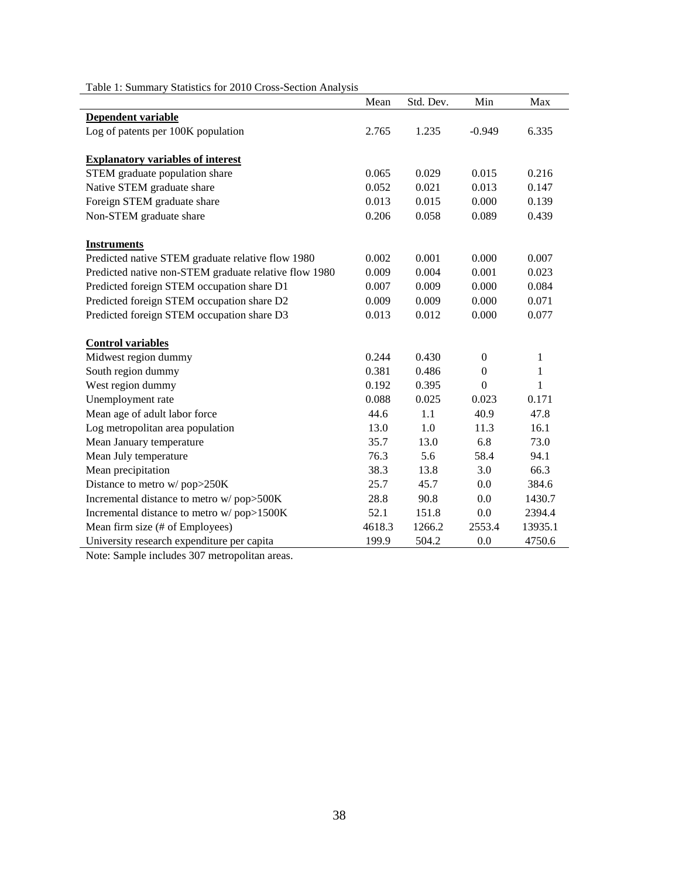|                                                       | Mean   | Std. Dev. | Min            | Max          |
|-------------------------------------------------------|--------|-----------|----------------|--------------|
| Dependent variable                                    |        |           |                |              |
| Log of patents per 100K population                    | 2.765  | 1.235     | $-0.949$       | 6.335        |
|                                                       |        |           |                |              |
| <b>Explanatory variables of interest</b>              |        |           |                |              |
| STEM graduate population share                        | 0.065  | 0.029     | 0.015          | 0.216        |
| Native STEM graduate share                            | 0.052  | 0.021     | 0.013          | 0.147        |
| Foreign STEM graduate share                           | 0.013  | 0.015     | 0.000          | 0.139        |
| Non-STEM graduate share                               | 0.206  | 0.058     | 0.089          | 0.439        |
|                                                       |        |           |                |              |
| <b>Instruments</b>                                    |        |           |                |              |
| Predicted native STEM graduate relative flow 1980     | 0.002  | 0.001     | 0.000          | 0.007        |
| Predicted native non-STEM graduate relative flow 1980 | 0.009  | 0.004     | 0.001          | 0.023        |
| Predicted foreign STEM occupation share D1            | 0.007  | 0.009     | 0.000          | 0.084        |
| Predicted foreign STEM occupation share D2            | 0.009  | 0.009     | 0.000          | 0.071        |
| Predicted foreign STEM occupation share D3            | 0.013  | 0.012     | 0.000          | 0.077        |
|                                                       |        |           |                |              |
| <b>Control variables</b>                              |        |           |                |              |
| Midwest region dummy                                  | 0.244  | 0.430     | $\overline{0}$ | 1            |
| South region dummy                                    | 0.381  | 0.486     | $\overline{0}$ | $\mathbf{1}$ |
| West region dummy                                     | 0.192  | 0.395     | $\Omega$       | $\mathbf 1$  |
| Unemployment rate                                     | 0.088  | 0.025     | 0.023          | 0.171        |
| Mean age of adult labor force                         | 44.6   | 1.1       | 40.9           | 47.8         |
| Log metropolitan area population                      | 13.0   | 1.0       | 11.3           | 16.1         |
| Mean January temperature                              | 35.7   | 13.0      | 6.8            | 73.0         |
| Mean July temperature                                 | 76.3   | 5.6       | 58.4           | 94.1         |
| Mean precipitation                                    | 38.3   | 13.8      | 3.0            | 66.3         |
| Distance to metro w/pop>250K                          | 25.7   | 45.7      | 0.0            | 384.6        |
| Incremental distance to metro w/pop>500K              | 28.8   | 90.8      | 0.0            | 1430.7       |
| Incremental distance to metro w/pop>1500K             | 52.1   | 151.8     | 0.0            | 2394.4       |
| Mean firm size (# of Employees)                       | 4618.3 | 1266.2    | 2553.4         | 13935.1      |
| University research expenditure per capita            | 199.9  | 504.2     | 0.0            | 4750.6       |

Note: Sample includes 307 metropolitan areas.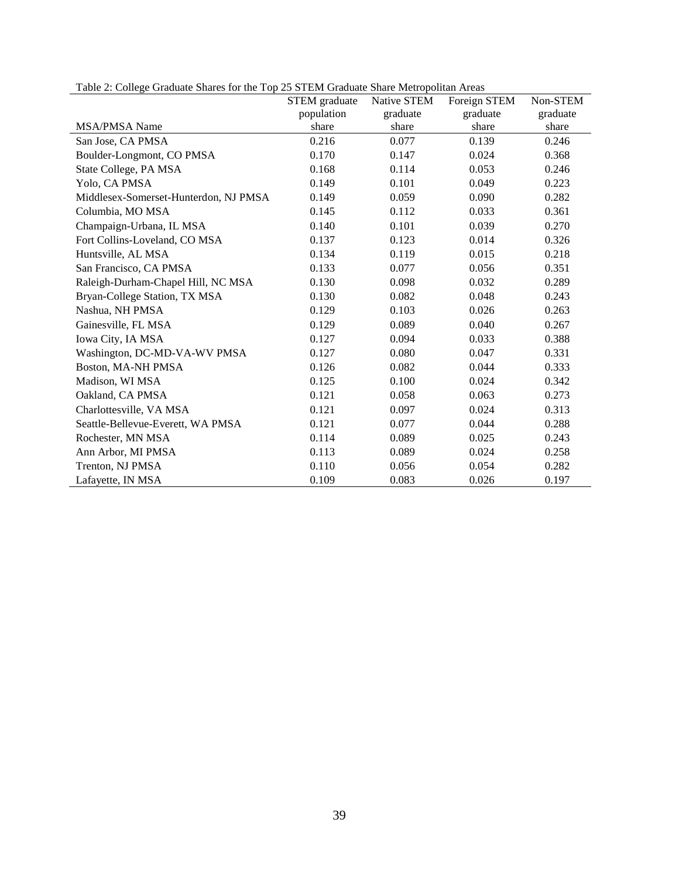|                                       | STEM graduate | Native STEM | Foreign STEM | Non-STEM |
|---------------------------------------|---------------|-------------|--------------|----------|
|                                       | population    | graduate    | graduate     | graduate |
| <b>MSA/PMSA Name</b>                  | share         | share       | share        | share    |
| San Jose, CA PMSA                     | 0.216         | 0.077       | 0.139        | 0.246    |
| Boulder-Longmont, CO PMSA             | 0.170         | 0.147       | 0.024        | 0.368    |
| State College, PA MSA                 | 0.168         | 0.114       | 0.053        | 0.246    |
| Yolo, CA PMSA                         | 0.149         | 0.101       | 0.049        | 0.223    |
| Middlesex-Somerset-Hunterdon, NJ PMSA | 0.149         | 0.059       | 0.090        | 0.282    |
| Columbia, MO MSA                      | 0.145         | 0.112       | 0.033        | 0.361    |
| Champaign-Urbana, IL MSA              | 0.140         | 0.101       | 0.039        | 0.270    |
| Fort Collins-Loveland, CO MSA         | 0.137         | 0.123       | 0.014        | 0.326    |
| Huntsville, AL MSA                    | 0.134         | 0.119       | 0.015        | 0.218    |
| San Francisco, CA PMSA                | 0.133         | 0.077       | 0.056        | 0.351    |
| Raleigh-Durham-Chapel Hill, NC MSA    | 0.130         | 0.098       | 0.032        | 0.289    |
| Bryan-College Station, TX MSA         | 0.130         | 0.082       | 0.048        | 0.243    |
| Nashua, NH PMSA                       | 0.129         | 0.103       | 0.026        | 0.263    |
| Gainesville, FL MSA                   | 0.129         | 0.089       | 0.040        | 0.267    |
| Iowa City, IA MSA                     | 0.127         | 0.094       | 0.033        | 0.388    |
| Washington, DC-MD-VA-WV PMSA          | 0.127         | 0.080       | 0.047        | 0.331    |
| Boston, MA-NH PMSA                    | 0.126         | 0.082       | 0.044        | 0.333    |
| Madison, WI MSA                       | 0.125         | 0.100       | 0.024        | 0.342    |
| Oakland, CA PMSA                      | 0.121         | 0.058       | 0.063        | 0.273    |
| Charlottesville, VA MSA               | 0.121         | 0.097       | 0.024        | 0.313    |
| Seattle-Bellevue-Everett, WA PMSA     | 0.121         | 0.077       | 0.044        | 0.288    |
| Rochester, MN MSA                     | 0.114         | 0.089       | 0.025        | 0.243    |
| Ann Arbor, MI PMSA                    | 0.113         | 0.089       | 0.024        | 0.258    |
| Trenton, NJ PMSA                      | 0.110         | 0.056       | 0.054        | 0.282    |
| Lafayette, IN MSA                     | 0.109         | 0.083       | 0.026        | 0.197    |

Table 2: College Graduate Shares for the Top 25 STEM Graduate Share Metropolitan Areas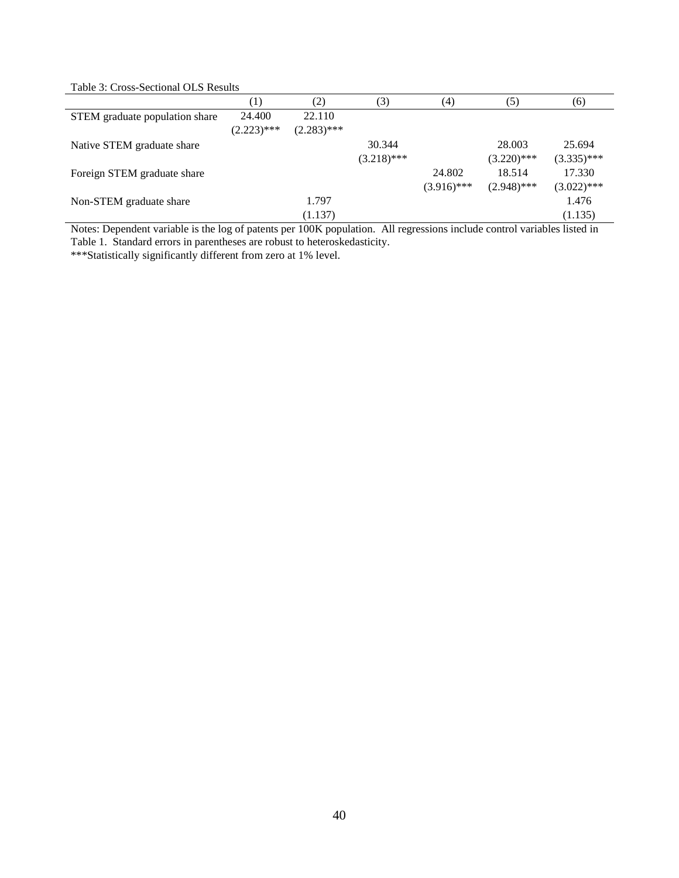Table 3: Cross-Sectional OLS Results

|                                | $\left(1\right)$ | (2)           | (3)           | (4)           | (5)           | (6)           |
|--------------------------------|------------------|---------------|---------------|---------------|---------------|---------------|
| STEM graduate population share | 24.400           | 22.110        |               |               |               |               |
|                                | $(2.223)$ ***    | $(2.283)$ *** |               |               |               |               |
| Native STEM graduate share     |                  |               | 30.344        |               | 28.003        | 25.694        |
|                                |                  |               | $(3.218)$ *** |               | $(3.220)$ *** | $(3.335)$ *** |
| Foreign STEM graduate share    |                  |               |               | 24.802        | 18.514        | 17.330        |
|                                |                  |               |               | $(3.916)$ *** | $(2.948)$ *** | $(3.022)$ *** |
| Non-STEM graduate share        |                  | 1.797         |               |               |               | 1.476         |
|                                |                  | (1.137)       |               |               |               | (1.135)       |

Notes: Dependent variable is the log of patents per 100K population. All regressions include control variables listed in Table 1. Standard errors in parentheses are robust to heteroskedasticity.

\*\*\*Statistically significantly different from zero at 1% level.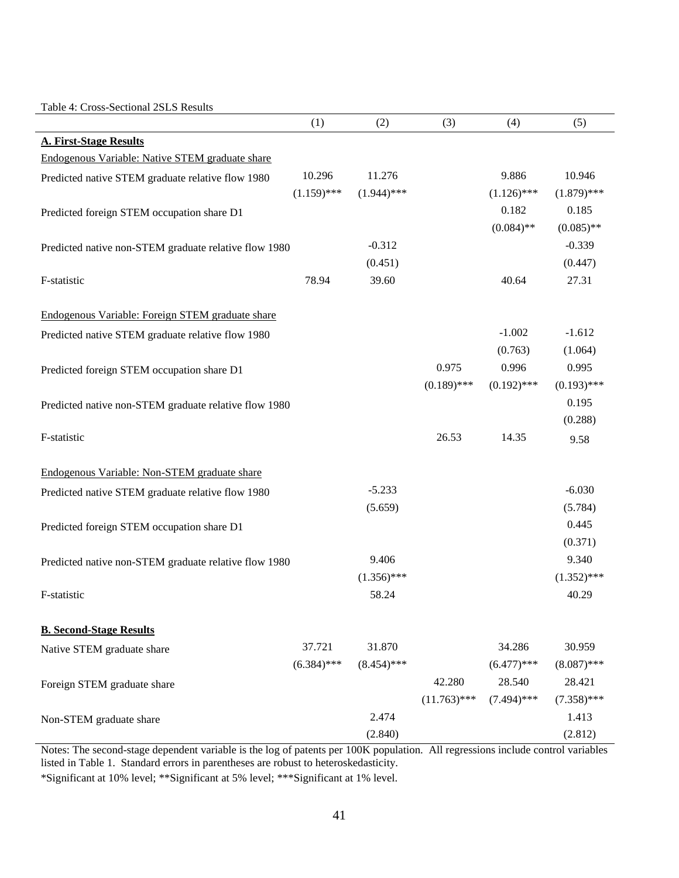| Table 4: Cross-Sectional 2SLS Results                 |               |               |                        |               |                        |
|-------------------------------------------------------|---------------|---------------|------------------------|---------------|------------------------|
|                                                       | (1)           | (2)           | (3)                    | (4)           | (5)                    |
| <b>A. First-Stage Results</b>                         |               |               |                        |               |                        |
| Endogenous Variable: Native STEM graduate share       |               |               |                        |               |                        |
| Predicted native STEM graduate relative flow 1980     | 10.296        | 11.276        |                        | 9.886         | 10.946                 |
|                                                       | $(1.159)$ *** | $(1.944)$ *** |                        | $(1.126)$ *** | $(1.879)$ ***          |
| Predicted foreign STEM occupation share D1            |               |               |                        | 0.182         | 0.185                  |
|                                                       |               |               |                        | $(0.084)$ **  | $(0.085)$ **           |
| Predicted native non-STEM graduate relative flow 1980 |               | $-0.312$      |                        |               | $-0.339$               |
|                                                       |               | (0.451)       |                        |               | (0.447)                |
| F-statistic                                           | 78.94         | 39.60         |                        | 40.64         | 27.31                  |
|                                                       |               |               |                        |               |                        |
| Endogenous Variable: Foreign STEM graduate share      |               |               |                        |               |                        |
| Predicted native STEM graduate relative flow 1980     |               |               |                        | $-1.002$      | $-1.612$               |
|                                                       |               |               |                        | (0.763)       | (1.064)                |
| Predicted foreign STEM occupation share D1            |               |               | 0.975<br>$(0.189)$ *** | 0.996         | 0.995                  |
|                                                       |               |               |                        | $(0.192)$ *** | $(0.193)$ ***<br>0.195 |
| Predicted native non-STEM graduate relative flow 1980 |               |               |                        |               | (0.288)                |
| F-statistic                                           |               |               | 26.53                  | 14.35         |                        |
|                                                       |               |               |                        |               | 9.58                   |
| Endogenous Variable: Non-STEM graduate share          |               |               |                        |               |                        |
| Predicted native STEM graduate relative flow 1980     |               | $-5.233$      |                        |               | $-6.030$               |
|                                                       |               | (5.659)       |                        |               | (5.784)                |
| Predicted foreign STEM occupation share D1            |               |               |                        |               | 0.445                  |
|                                                       |               |               |                        |               | (0.371)                |
| Predicted native non-STEM graduate relative flow 1980 |               | 9.406         |                        |               | 9.340                  |
|                                                       |               | $(1.356)$ *** |                        |               | $(1.352)$ ***          |
| F-statistic                                           |               | 58.24         |                        |               | 40.29                  |
|                                                       |               |               |                        |               |                        |
| <b>B. Second-Stage Results</b>                        |               |               |                        |               |                        |
| Native STEM graduate share                            | 37.721        | 31.870        |                        | 34.286        | 30.959                 |
|                                                       | $(6.384)$ *** | $(8.454)$ *** |                        | $(6.477)$ *** | $(8.087)$ ***          |
| Foreign STEM graduate share                           |               |               | 42.280                 | 28.540        | 28.421                 |
|                                                       |               |               | $(11.763)$ ***         | $(7.494)$ *** | $(7.358)$ ***          |
| Non-STEM graduate share                               |               | 2.474         |                        |               | 1.413                  |
|                                                       |               | (2.840)       |                        |               | (2.812)                |

Notes: The second-stage dependent variable is the log of patents per 100K population. All regressions include control variables listed in Table 1. Standard errors in parentheses are robust to heteroskedasticity.

\*Significant at 10% level; \*\*Significant at 5% level; \*\*\*Significant at 1% level.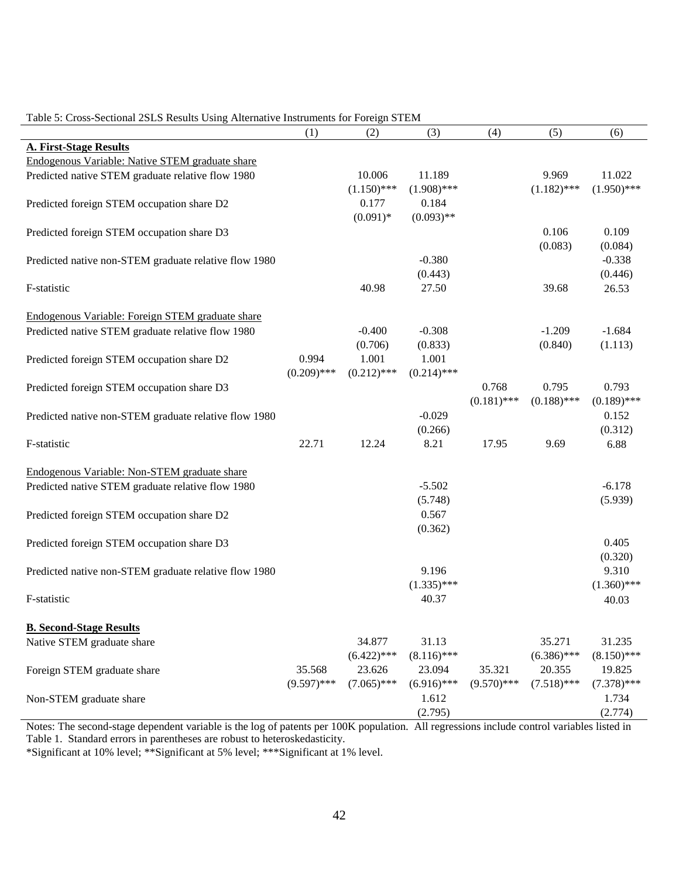| $\alpha$ . Cross beetional 2010 results Cam           | (1)           | <i>i</i> merman ve montamento for 1 oreign of Ent<br>(2) | (3)           | (4)           | (5)           | (6)           |
|-------------------------------------------------------|---------------|----------------------------------------------------------|---------------|---------------|---------------|---------------|
| <b>A. First-Stage Results</b>                         |               |                                                          |               |               |               |               |
| Endogenous Variable: Native STEM graduate share       |               |                                                          |               |               |               |               |
| Predicted native STEM graduate relative flow 1980     |               | 10.006                                                   | 11.189        |               | 9.969         | 11.022        |
|                                                       |               | $(1.150)$ ***                                            | $(1.908)$ *** |               | $(1.182)$ *** | $(1.950)$ *** |
| Predicted foreign STEM occupation share D2            |               | 0.177                                                    | 0.184         |               |               |               |
|                                                       |               | $(0.091)$ *                                              | $(0.093)$ **  |               |               |               |
| Predicted foreign STEM occupation share D3            |               |                                                          |               |               | 0.106         | 0.109         |
|                                                       |               |                                                          |               |               | (0.083)       | (0.084)       |
| Predicted native non-STEM graduate relative flow 1980 |               |                                                          | $-0.380$      |               |               | $-0.338$      |
|                                                       |               |                                                          | (0.443)       |               |               | (0.446)       |
| F-statistic                                           |               | 40.98                                                    | 27.50         |               | 39.68         | 26.53         |
| Endogenous Variable: Foreign STEM graduate share      |               |                                                          |               |               |               |               |
| Predicted native STEM graduate relative flow 1980     |               | $-0.400$                                                 | $-0.308$      |               | $-1.209$      | $-1.684$      |
|                                                       |               | (0.706)                                                  | (0.833)       |               | (0.840)       | (1.113)       |
| Predicted foreign STEM occupation share D2            | 0.994         | 1.001                                                    | $1.001\,$     |               |               |               |
|                                                       | $(0.209)$ *** | $(0.212)$ ***                                            | $(0.214)$ *** |               |               |               |
| Predicted foreign STEM occupation share D3            |               |                                                          |               | 0.768         | 0.795         | 0.793         |
|                                                       |               |                                                          |               | $(0.181)$ *** | $(0.188)$ *** | $(0.189)$ *** |
| Predicted native non-STEM graduate relative flow 1980 |               |                                                          | $-0.029$      |               |               | 0.152         |
|                                                       |               |                                                          | (0.266)       |               |               | (0.312)       |
| F-statistic                                           | 22.71         | 12.24                                                    | 8.21          | 17.95         | 9.69          | 6.88          |
| Endogenous Variable: Non-STEM graduate share          |               |                                                          |               |               |               |               |
| Predicted native STEM graduate relative flow 1980     |               |                                                          | $-5.502$      |               |               | $-6.178$      |
|                                                       |               |                                                          | (5.748)       |               |               | (5.939)       |
| Predicted foreign STEM occupation share D2            |               |                                                          | 0.567         |               |               |               |
|                                                       |               |                                                          | (0.362)       |               |               |               |
| Predicted foreign STEM occupation share D3            |               |                                                          |               |               |               | 0.405         |
|                                                       |               |                                                          |               |               |               | (0.320)       |
| Predicted native non-STEM graduate relative flow 1980 |               |                                                          | 9.196         |               |               | 9.310         |
|                                                       |               |                                                          | $(1.335)$ *** |               |               | $(1.360)$ *** |
| F-statistic                                           |               |                                                          | 40.37         |               |               | 40.03         |
|                                                       |               |                                                          |               |               |               |               |
| <b>B. Second-Stage Results</b>                        |               |                                                          |               |               |               |               |
| Native STEM graduate share                            |               | 34.877                                                   | 31.13         |               | 35.271        | 31.235        |
|                                                       |               | $(6.422)$ ***                                            | $(8.116)$ *** |               | $(6.386)$ *** | $(8.150)$ *** |
| Foreign STEM graduate share                           | 35.568        | 23.626                                                   | 23.094        | 35.321        | 20.355        | 19.825        |
|                                                       | $(9.597)$ *** | $(7.065)$ ***                                            | $(6.916)$ *** | $(9.570)$ *** | $(7.518)$ *** | $(7.378)$ *** |
| Non-STEM graduate share                               |               |                                                          | 1.612         |               |               | 1.734         |
|                                                       |               |                                                          | (2.795)       |               |               | (2.774)       |

# Table 5: Cross-Sectional 2SLS Results Using Alternative Instruments for Foreign STEM

Notes: The second-stage dependent variable is the log of patents per 100K population. All regressions include control variables listed in Table 1. Standard errors in parentheses are robust to heteroskedasticity.

\*Significant at 10% level; \*\*Significant at 5% level; \*\*\*Significant at 1% level.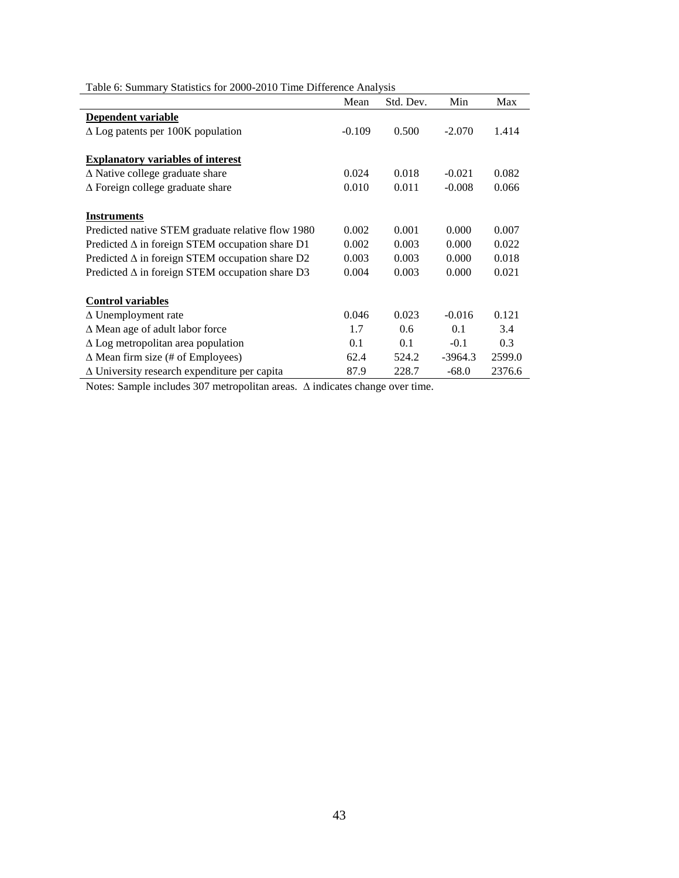| I able 0. Summary Statistics for 2000-2010 Thine Difference Aniarysis |          |           |           |        |
|-----------------------------------------------------------------------|----------|-----------|-----------|--------|
|                                                                       | Mean     | Std. Dev. | Min       | Max    |
| Dependent variable                                                    |          |           |           |        |
| $\Delta$ Log patents per 100K population                              | $-0.109$ | 0.500     | $-2.070$  | 1.414  |
|                                                                       |          |           |           |        |
| <b>Explanatory variables of interest</b>                              |          |           |           |        |
| $\Delta$ Native college graduate share                                | 0.024    | 0.018     | $-0.021$  | 0.082  |
| $\Delta$ Foreign college graduate share                               | 0.010    | 0.011     | $-0.008$  | 0.066  |
|                                                                       |          |           |           |        |
| <b>Instruments</b>                                                    |          |           |           |        |
| Predicted native STEM graduate relative flow 1980                     | 0.002    | 0.001     | 0.000     | 0.007  |
| Predicted $\Delta$ in foreign STEM occupation share D1                | 0.002    | 0.003     | 0.000     | 0.022  |
| Predicted $\Delta$ in foreign STEM occupation share D2                | 0.003    | 0.003     | 0.000     | 0.018  |
| Predicted $\Delta$ in foreign STEM occupation share D3                | 0.004    | 0.003     | 0.000     | 0.021  |
|                                                                       |          |           |           |        |
| <b>Control variables</b>                                              |          |           |           |        |
| $\Delta$ Unemployment rate                                            | 0.046    | 0.023     | $-0.016$  | 0.121  |
| $\Delta$ Mean age of adult labor force                                | 1.7      | 0.6       | 0.1       | 3.4    |
| $\Delta$ Log metropolitan area population                             | 0.1      | 0.1       | $-0.1$    | 0.3    |
| $\Delta$ Mean firm size (# of Employees)                              | 62.4     | 524.2     | $-3964.3$ | 2599.0 |
| $\Delta$ University research expenditure per capita                   | 87.9     | 228.7     | $-68.0$   | 2376.6 |

Table 6: Summary Statistics for 2000-2010 Time Difference Analysis

Notes: Sample includes 307 metropolitan areas.  $\Delta$  indicates change over time.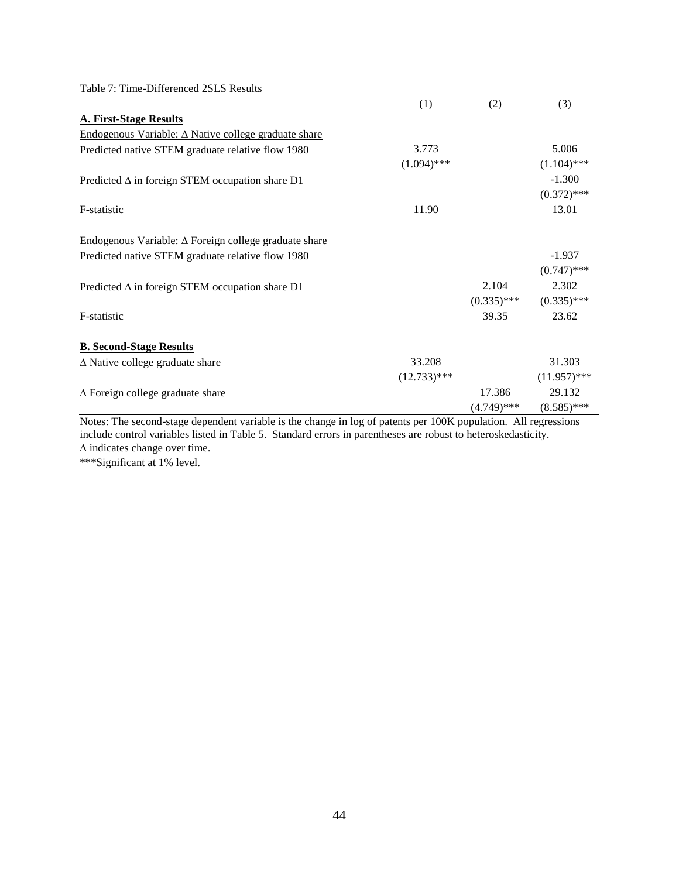Table 7: Time-Differenced 2SLS Results

|                                                              | (1)            | (2)           | (3)            |
|--------------------------------------------------------------|----------------|---------------|----------------|
| <b>A. First-Stage Results</b>                                |                |               |                |
| Endogenous Variable: $\Delta$ Native college graduate share  |                |               |                |
| Predicted native STEM graduate relative flow 1980            | 3.773          |               | 5.006          |
|                                                              | $(1.094)$ ***  |               | $(1.104)$ ***  |
| Predicted $\Delta$ in foreign STEM occupation share D1       |                |               | $-1.300$       |
|                                                              |                |               | $(0.372)$ ***  |
| F-statistic                                                  | 11.90          |               | 13.01          |
| Endogenous Variable: $\Delta$ Foreign college graduate share |                |               |                |
| Predicted native STEM graduate relative flow 1980            |                |               | $-1.937$       |
|                                                              |                |               | $(0.747)$ ***  |
| Predicted $\Delta$ in foreign STEM occupation share D1       |                | 2.104         | 2.302          |
|                                                              |                | $(0.335)$ *** | $(0.335)$ ***  |
| F-statistic                                                  |                | 39.35         | 23.62          |
| <b>B. Second-Stage Results</b>                               |                |               |                |
| $\Delta$ Native college graduate share                       | 33.208         |               | 31.303         |
|                                                              | $(12.733)$ *** |               | $(11.957)$ *** |
| $\Delta$ Foreign college graduate share                      |                | 17.386        | 29.132         |
|                                                              |                | $(4.749)$ *** | $(8.585)$ ***  |

Notes: The second-stage dependent variable is the change in log of patents per 100K population. All regressions include control variables listed in Table 5. Standard errors in parentheses are robust to heteroskedasticity.  $\Delta$  indicates change over time.

\*\*\*Significant at 1% level.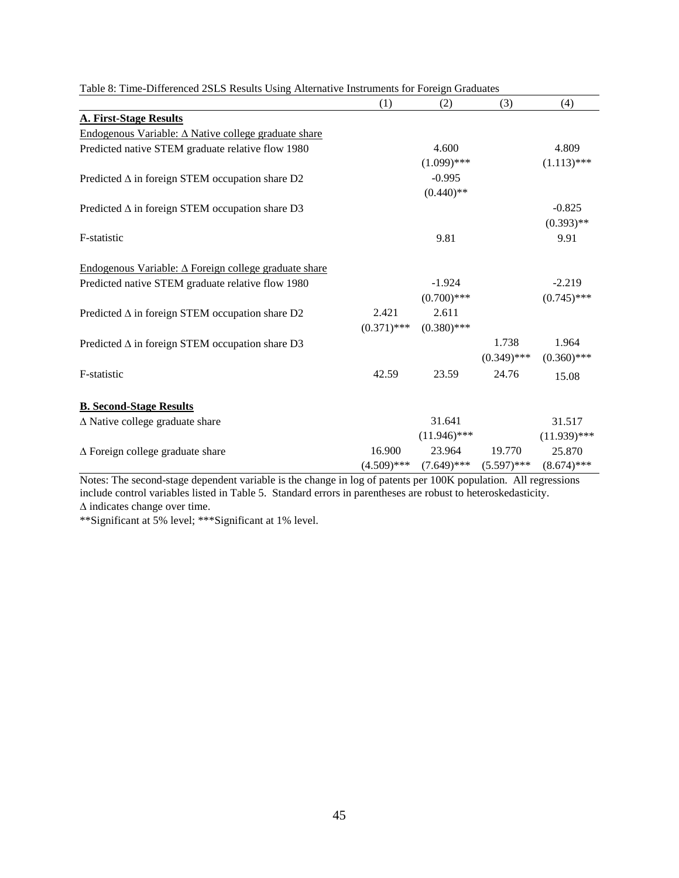|                                                              | (1)           | (2)            | (3)           | (4)            |
|--------------------------------------------------------------|---------------|----------------|---------------|----------------|
| <b>A. First-Stage Results</b>                                |               |                |               |                |
| Endogenous Variable: $\Delta$ Native college graduate share  |               |                |               |                |
| Predicted native STEM graduate relative flow 1980            |               | 4.600          |               | 4.809          |
|                                                              |               | $(1.099)$ ***  |               | $(1.113)$ ***  |
| Predicted $\Delta$ in foreign STEM occupation share D2       |               | $-0.995$       |               |                |
|                                                              |               | $(0.440)$ **   |               |                |
| Predicted $\Delta$ in foreign STEM occupation share D3       |               |                |               | $-0.825$       |
|                                                              |               |                |               | $(0.393)$ **   |
| F-statistic                                                  |               | 9.81           |               | 9.91           |
| Endogenous Variable: $\Delta$ Foreign college graduate share |               |                |               |                |
| Predicted native STEM graduate relative flow 1980            |               | $-1.924$       |               | $-2.219$       |
|                                                              |               | $(0.700)$ ***  |               | $(0.745)$ ***  |
| Predicted $\Delta$ in foreign STEM occupation share D2       | 2.421         | 2.611          |               |                |
|                                                              | $(0.371)$ *** | $(0.380)$ ***  |               |                |
| Predicted $\Delta$ in foreign STEM occupation share D3       |               |                | 1.738         | 1.964          |
|                                                              |               |                | $(0.349)$ *** | $(0.360)$ ***  |
| F-statistic                                                  | 42.59         | 23.59          | 24.76         | 15.08          |
| <b>B. Second-Stage Results</b>                               |               |                |               |                |
| $\Delta$ Native college graduate share                       |               | 31.641         |               | 31.517         |
|                                                              |               | $(11.946)$ *** |               | $(11.939)$ *** |
| $\Delta$ Foreign college graduate share                      | 16.900        | 23.964         | 19.770        | 25.870         |
|                                                              | $(4.509)$ *** | $(7.649)$ ***  | $(5.597)$ *** | $(8.674)$ ***  |

Table 8: Time-Differenced 2SLS Results Using Alternative Instruments for Foreign Graduates

Notes: The second-stage dependent variable is the change in log of patents per 100K population. All regressions include control variables listed in Table 5. Standard errors in parentheses are robust to heteroskedasticity.  $\Delta$  indicates change over time.

\*\*Significant at 5% level; \*\*\*Significant at 1% level.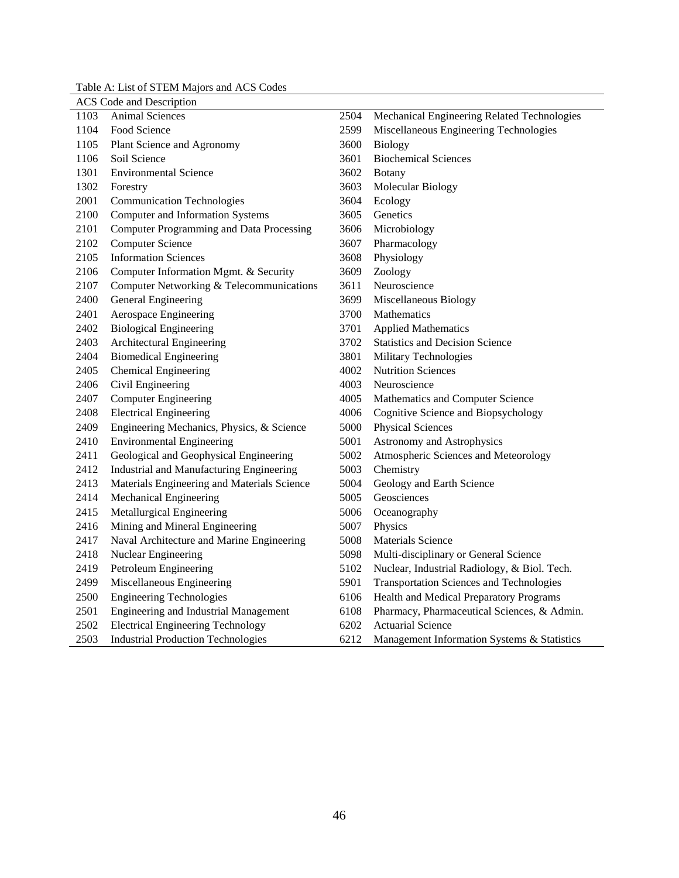Table A: List of STEM Majors and ACS Codes

|      | rapic 71. Else of 9 Febri majors and Tics codes |      |                                                 |
|------|-------------------------------------------------|------|-------------------------------------------------|
|      | ACS Code and Description                        |      |                                                 |
| 1103 | <b>Animal Sciences</b>                          | 2504 | Mechanical Engineering Related Technologies     |
| 1104 | Food Science                                    | 2599 | Miscellaneous Engineering Technologies          |
| 1105 | Plant Science and Agronomy                      | 3600 | Biology                                         |
| 1106 | Soil Science                                    | 3601 | <b>Biochemical Sciences</b>                     |
| 1301 | <b>Environmental Science</b>                    | 3602 | Botany                                          |
| 1302 | Forestry                                        | 3603 | Molecular Biology                               |
| 2001 | <b>Communication Technologies</b>               | 3604 | Ecology                                         |
| 2100 | Computer and Information Systems                | 3605 | Genetics                                        |
| 2101 | <b>Computer Programming and Data Processing</b> | 3606 | Microbiology                                    |
| 2102 | <b>Computer Science</b>                         | 3607 | Pharmacology                                    |
| 2105 | <b>Information Sciences</b>                     | 3608 | Physiology                                      |
| 2106 | Computer Information Mgmt. & Security           | 3609 | Zoology                                         |
| 2107 | Computer Networking & Telecommunications        | 3611 | Neuroscience                                    |
| 2400 | General Engineering                             | 3699 | Miscellaneous Biology                           |
| 2401 | Aerospace Engineering                           | 3700 | <b>Mathematics</b>                              |
| 2402 | <b>Biological Engineering</b>                   | 3701 | <b>Applied Mathematics</b>                      |
| 2403 | Architectural Engineering                       | 3702 | <b>Statistics and Decision Science</b>          |
| 2404 | <b>Biomedical Engineering</b>                   | 3801 | Military Technologies                           |
| 2405 | <b>Chemical Engineering</b>                     | 4002 | <b>Nutrition Sciences</b>                       |
| 2406 | Civil Engineering                               | 4003 | Neuroscience                                    |
| 2407 | <b>Computer Engineering</b>                     | 4005 | Mathematics and Computer Science                |
| 2408 | <b>Electrical Engineering</b>                   | 4006 | Cognitive Science and Biopsychology             |
| 2409 | Engineering Mechanics, Physics, & Science       | 5000 | <b>Physical Sciences</b>                        |
| 2410 | <b>Environmental Engineering</b>                | 5001 | <b>Astronomy and Astrophysics</b>               |
| 2411 | Geological and Geophysical Engineering          | 5002 | Atmospheric Sciences and Meteorology            |
| 2412 | Industrial and Manufacturing Engineering        | 5003 | Chemistry                                       |
| 2413 | Materials Engineering and Materials Science     | 5004 | Geology and Earth Science                       |
| 2414 | Mechanical Engineering                          | 5005 | Geosciences                                     |
| 2415 | Metallurgical Engineering                       | 5006 | Oceanography                                    |
| 2416 | Mining and Mineral Engineering                  | 5007 | Physics                                         |
| 2417 | Naval Architecture and Marine Engineering       | 5008 | <b>Materials Science</b>                        |
| 2418 | Nuclear Engineering                             | 5098 | Multi-disciplinary or General Science           |
| 2419 | Petroleum Engineering                           | 5102 | Nuclear, Industrial Radiology, & Biol. Tech.    |
| 2499 | Miscellaneous Engineering                       | 5901 | <b>Transportation Sciences and Technologies</b> |
| 2500 | <b>Engineering Technologies</b>                 | 6106 | Health and Medical Preparatory Programs         |
| 2501 | <b>Engineering and Industrial Management</b>    | 6108 | Pharmacy, Pharmaceutical Sciences, & Admin.     |
| 2502 | <b>Electrical Engineering Technology</b>        | 6202 | <b>Actuarial Science</b>                        |
| 2503 | <b>Industrial Production Technologies</b>       | 6212 | Management Information Systems & Statistics     |